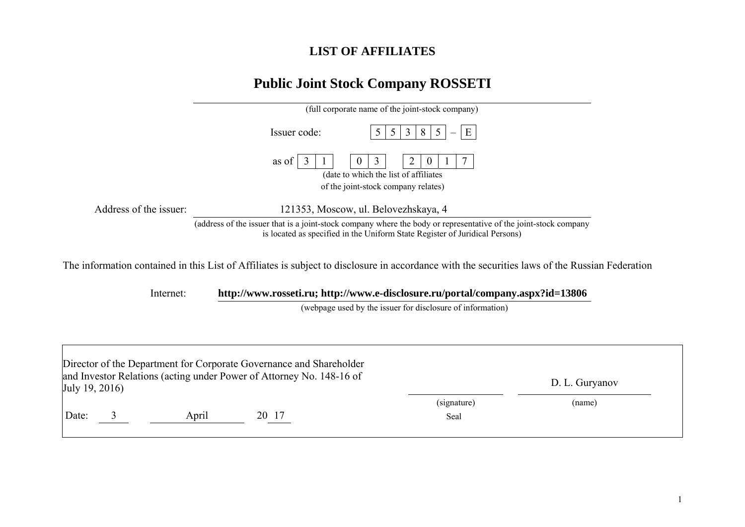## **LIST OF AFFILIATES**

## **Public Joint Stock Company ROSSETI**

|                        | (full corporate name of the joint-stock company)                                                                                                                                                |
|------------------------|-------------------------------------------------------------------------------------------------------------------------------------------------------------------------------------------------|
|                        | 3<br>8<br>Issuer code:<br>5 <sup>5</sup><br>E<br>5                                                                                                                                              |
|                        | 3<br>2<br>as of<br>$\theta$<br>$\theta$<br>(date to which the list of affiliates)<br>of the joint-stock company relates)                                                                        |
| Address of the issuer: | 121353, Moscow, ul. Belovezhskaya, 4                                                                                                                                                            |
|                        | (address of the issuer that is a joint-stock company where the body or representative of the joint-stock company<br>is located as specified in the Uniform State Register of Juridical Persons) |
|                        | The information contained in this List of Affiliates is subject to disclosure in accordance with the securities laws of the Russian Federation                                                  |
| Internet:              | http://www.rosseti.ru; http://www.e-disclosure.ru/portal/company.aspx?id=13806                                                                                                                  |
|                        | (webpage used by the issuer for disclosure of information)                                                                                                                                      |

| July 19, 2016) |       | Director of the Department for Corporate Governance and Shareholder<br>and Investor Relations (acting under Power of Attorney No. 148-16 of |                     | D. L. Guryanov |  |
|----------------|-------|---------------------------------------------------------------------------------------------------------------------------------------------|---------------------|----------------|--|
| Date:          | April | 20 17                                                                                                                                       | (signature)<br>Seal | (name)         |  |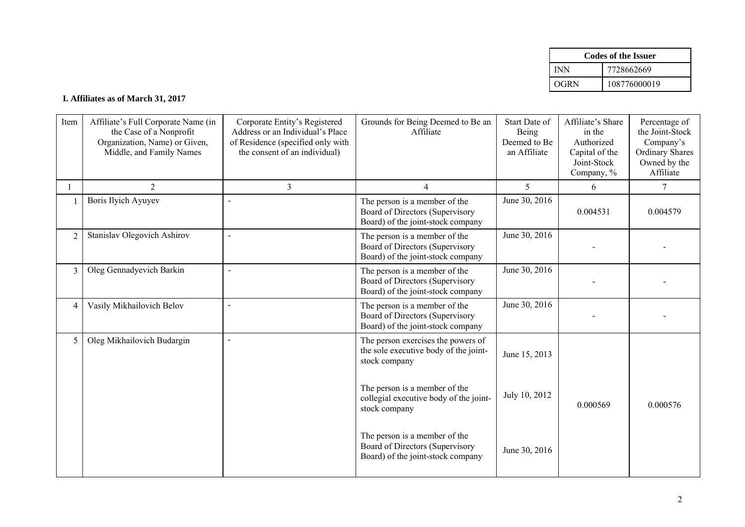|      | <b>Codes of the Issuer</b> |
|------|----------------------------|
| INN  | 7728662669                 |
| OGRN | 108776000019               |

## **I. Affiliates as of March 31, 2017**

| Item           | Affiliate's Full Corporate Name (in<br>the Case of a Nonprofit<br>Organization, Name) or Given,<br>Middle, and Family Names | Corporate Entity's Registered<br>Address or an Individual's Place<br>of Residence (specified only with<br>the consent of an individual) | Grounds for Being Deemed to Be an<br>Affiliate                                                        | Start Date of<br>Being<br>Deemed to Be<br>an Affiliate | Affiliate's Share<br>in the<br>Authorized<br>Capital of the<br>Joint-Stock<br>Company, % | Percentage of<br>the Joint-Stock<br>Company's<br><b>Ordinary Shares</b><br>Owned by the<br>Affiliate |
|----------------|-----------------------------------------------------------------------------------------------------------------------------|-----------------------------------------------------------------------------------------------------------------------------------------|-------------------------------------------------------------------------------------------------------|--------------------------------------------------------|------------------------------------------------------------------------------------------|------------------------------------------------------------------------------------------------------|
|                | $\overline{2}$                                                                                                              | 3                                                                                                                                       | 4                                                                                                     | 5                                                      | 6                                                                                        | 7                                                                                                    |
|                | <b>Boris Ilyich Ayuyev</b>                                                                                                  | $\overline{a}$                                                                                                                          | The person is a member of the<br>Board of Directors (Supervisory<br>Board) of the joint-stock company | June 30, 2016                                          | 0.004531                                                                                 | 0.004579                                                                                             |
| $\overline{2}$ | Stanislav Olegovich Ashirov                                                                                                 | $\blacksquare$                                                                                                                          | The person is a member of the<br>Board of Directors (Supervisory<br>Board) of the joint-stock company | June 30, 2016                                          |                                                                                          |                                                                                                      |
| 3              | Oleg Gennadyevich Barkin                                                                                                    | $\overline{a}$                                                                                                                          | The person is a member of the<br>Board of Directors (Supervisory<br>Board) of the joint-stock company | June 30, 2016                                          |                                                                                          |                                                                                                      |
| $\overline{4}$ | Vasily Mikhailovich Belov                                                                                                   | $\overline{\phantom{a}}$                                                                                                                | The person is a member of the<br>Board of Directors (Supervisory<br>Board) of the joint-stock company | June 30, 2016                                          |                                                                                          |                                                                                                      |
| 5              | Oleg Mikhailovich Budargin                                                                                                  | $\blacksquare$                                                                                                                          | The person exercises the powers of<br>the sole executive body of the joint-<br>stock company          | June 15, 2013                                          |                                                                                          |                                                                                                      |
|                |                                                                                                                             |                                                                                                                                         | The person is a member of the<br>collegial executive body of the joint-<br>stock company              | July 10, 2012                                          | 0.000569                                                                                 | 0.000576                                                                                             |
|                |                                                                                                                             |                                                                                                                                         | The person is a member of the<br>Board of Directors (Supervisory<br>Board) of the joint-stock company | June 30, 2016                                          |                                                                                          |                                                                                                      |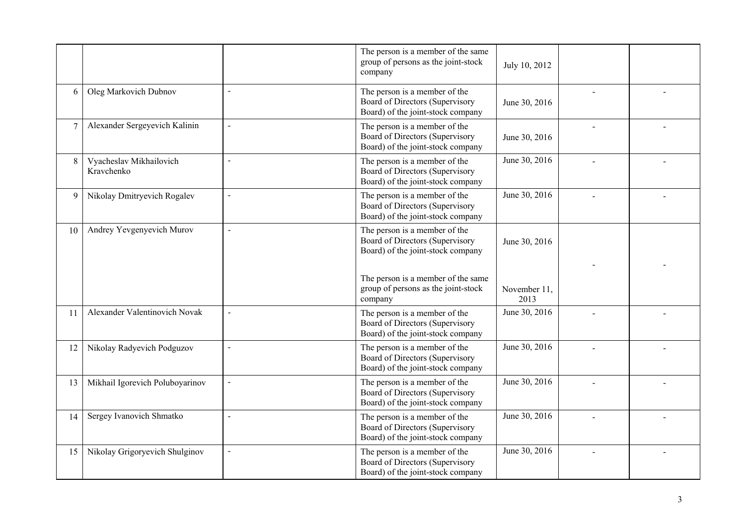|    |                                       |                          | The person is a member of the same<br>group of persons as the joint-stock<br>company                  | July 10, 2012        |  |
|----|---------------------------------------|--------------------------|-------------------------------------------------------------------------------------------------------|----------------------|--|
| 6  | Oleg Markovich Dubnov                 | $\blacksquare$           | The person is a member of the<br>Board of Directors (Supervisory<br>Board) of the joint-stock company | June 30, 2016        |  |
| 7  | Alexander Sergeyevich Kalinin         | $\blacksquare$           | The person is a member of the<br>Board of Directors (Supervisory<br>Board) of the joint-stock company | June 30, 2016        |  |
| 8  | Vyacheslav Mikhailovich<br>Kravchenko | $\sim$                   | The person is a member of the<br>Board of Directors (Supervisory<br>Board) of the joint-stock company | June 30, 2016        |  |
| 9  | Nikolay Dmitryevich Rogalev           | $\sim$                   | The person is a member of the<br>Board of Directors (Supervisory<br>Board) of the joint-stock company | June 30, 2016        |  |
| 10 | Andrey Yevgenyevich Murov             | $\overline{a}$           | The person is a member of the<br>Board of Directors (Supervisory<br>Board) of the joint-stock company | June 30, 2016        |  |
|    |                                       |                          | The person is a member of the same<br>group of persons as the joint-stock<br>company                  | November 11,<br>2013 |  |
| 11 | Alexander Valentinovich Novak         | $\sim$                   | The person is a member of the<br>Board of Directors (Supervisory<br>Board) of the joint-stock company | June 30, 2016        |  |
| 12 | Nikolay Radyevich Podguzov            | $\blacksquare$           | The person is a member of the<br>Board of Directors (Supervisory<br>Board) of the joint-stock company | June 30, 2016        |  |
| 13 | Mikhail Igorevich Poluboyarinov       | $\overline{a}$           | The person is a member of the<br>Board of Directors (Supervisory<br>Board) of the joint-stock company | June 30, 2016        |  |
| 14 | Sergey Ivanovich Shmatko              | $\overline{\phantom{a}}$ | The person is a member of the<br>Board of Directors (Supervisory<br>Board) of the joint-stock company | June 30, 2016        |  |
| 15 | Nikolay Grigoryevich Shulginov        | $\sim$                   | The person is a member of the<br>Board of Directors (Supervisory<br>Board) of the joint-stock company | June 30, 2016        |  |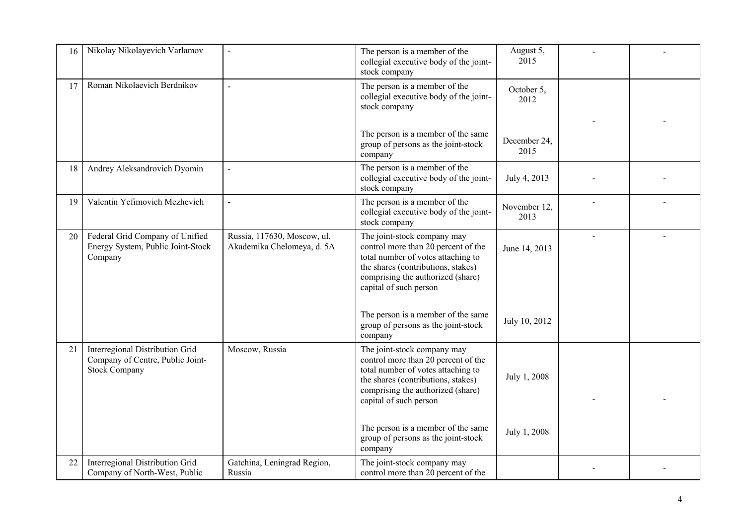| 16 | Nikolay Nikolayevich Varlamov                                                               | $\overline{a}$                                            | The person is a member of the<br>collegial executive body of the joint-<br>stock company                                                                                                                      | August 5,<br>2015    |  |
|----|---------------------------------------------------------------------------------------------|-----------------------------------------------------------|---------------------------------------------------------------------------------------------------------------------------------------------------------------------------------------------------------------|----------------------|--|
| 17 | Roman Nikolaevich Berdnikov                                                                 | $\overline{a}$                                            | The person is a member of the<br>collegial executive body of the joint-<br>stock company                                                                                                                      | October 5,<br>2012   |  |
|    |                                                                                             |                                                           | The person is a member of the same<br>group of persons as the joint-stock                                                                                                                                     | December 24,         |  |
|    |                                                                                             |                                                           | company                                                                                                                                                                                                       | 2015                 |  |
| 18 | Andrey Aleksandrovich Dyomin                                                                | $\overline{a}$                                            | The person is a member of the<br>collegial executive body of the joint-<br>stock company                                                                                                                      | July 4, 2013         |  |
| 19 | Valentin Yefimovich Mezhevich                                                               | $\overline{a}$                                            | The person is a member of the<br>collegial executive body of the joint-<br>stock company                                                                                                                      | November 12,<br>2013 |  |
| 20 | Federal Grid Company of Unified<br>Energy System, Public Joint-Stock<br>Company             | Russia, 117630, Moscow, ul.<br>Akademika Chelomeya, d. 5A | The joint-stock company may<br>control more than 20 percent of the<br>total number of votes attaching to<br>the shares (contributions, stakes)<br>comprising the authorized (share)<br>capital of such person | June 14, 2013        |  |
|    |                                                                                             |                                                           | The person is a member of the same<br>group of persons as the joint-stock<br>company                                                                                                                          | July 10, 2012        |  |
| 21 | Interregional Distribution Grid<br>Company of Centre, Public Joint-<br><b>Stock Company</b> | Moscow, Russia                                            | The joint-stock company may<br>control more than 20 percent of the<br>total number of votes attaching to<br>the shares (contributions, stakes)<br>comprising the authorized (share)<br>capital of such person | July 1, 2008         |  |
|    |                                                                                             |                                                           | The person is a member of the same<br>group of persons as the joint-stock<br>company                                                                                                                          | July 1, 2008         |  |
| 22 | Interregional Distribution Grid<br>Company of North-West, Public                            | Gatchina, Leningrad Region,<br>Russia                     | The joint-stock company may<br>control more than 20 percent of the                                                                                                                                            |                      |  |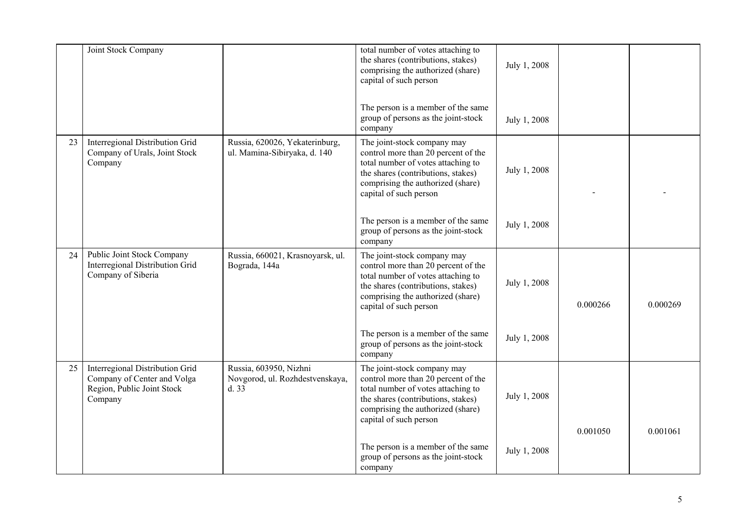|    | Joint Stock Company                                                                                     |                                                                    | total number of votes attaching to<br>the shares (contributions, stakes)<br>comprising the authorized (share)<br>capital of such person<br>The person is a member of the same                                 | July 1, 2008 |          |          |
|----|---------------------------------------------------------------------------------------------------------|--------------------------------------------------------------------|---------------------------------------------------------------------------------------------------------------------------------------------------------------------------------------------------------------|--------------|----------|----------|
|    |                                                                                                         |                                                                    | group of persons as the joint-stock<br>company                                                                                                                                                                | July 1, 2008 |          |          |
| 23 | Interregional Distribution Grid<br>Company of Urals, Joint Stock<br>Company                             | Russia, 620026, Yekaterinburg,<br>ul. Mamina-Sibiryaka, d. 140     | The joint-stock company may<br>control more than 20 percent of the<br>total number of votes attaching to<br>the shares (contributions, stakes)<br>comprising the authorized (share)<br>capital of such person | July 1, 2008 |          |          |
|    |                                                                                                         |                                                                    | The person is a member of the same<br>group of persons as the joint-stock<br>company                                                                                                                          | July 1, 2008 |          |          |
| 24 | Public Joint Stock Company<br>Interregional Distribution Grid<br>Company of Siberia                     | Russia, 660021, Krasnoyarsk, ul.<br>Bograda, 144a                  | The joint-stock company may<br>control more than 20 percent of the<br>total number of votes attaching to<br>the shares (contributions, stakes)<br>comprising the authorized (share)<br>capital of such person | July 1, 2008 | 0.000266 | 0.000269 |
|    |                                                                                                         |                                                                    | The person is a member of the same<br>group of persons as the joint-stock<br>company                                                                                                                          | July 1, 2008 |          |          |
| 25 | Interregional Distribution Grid<br>Company of Center and Volga<br>Region, Public Joint Stock<br>Company | Russia, 603950, Nizhni<br>Novgorod, ul. Rozhdestvenskaya,<br>d. 33 | The joint-stock company may<br>control more than 20 percent of the<br>total number of votes attaching to<br>the shares (contributions, stakes)<br>comprising the authorized (share)<br>capital of such person | July 1, 2008 |          |          |
|    |                                                                                                         |                                                                    | The person is a member of the same<br>group of persons as the joint-stock<br>company                                                                                                                          | July 1, 2008 | 0.001050 | 0.001061 |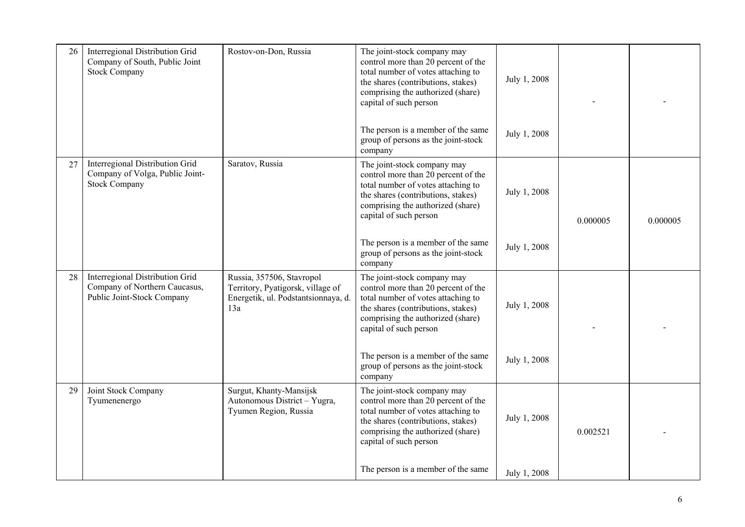| 26 | Interregional Distribution Grid<br>Company of South, Public Joint<br><b>Stock Company</b>      | Rostov-on-Don, Russia                                                                                        | The joint-stock company may<br>control more than 20 percent of the<br>total number of votes attaching to<br>the shares (contributions, stakes)<br>comprising the authorized (share)<br>capital of such person | July 1, 2008 |          |          |
|----|------------------------------------------------------------------------------------------------|--------------------------------------------------------------------------------------------------------------|---------------------------------------------------------------------------------------------------------------------------------------------------------------------------------------------------------------|--------------|----------|----------|
|    |                                                                                                |                                                                                                              | The person is a member of the same<br>group of persons as the joint-stock<br>company                                                                                                                          | July 1, 2008 |          |          |
| 27 | Interregional Distribution Grid<br>Company of Volga, Public Joint-<br><b>Stock Company</b>     | Saratov, Russia                                                                                              | The joint-stock company may<br>control more than 20 percent of the<br>total number of votes attaching to<br>the shares (contributions, stakes)<br>comprising the authorized (share)<br>capital of such person | July 1, 2008 | 0.000005 | 0.000005 |
|    |                                                                                                |                                                                                                              | The person is a member of the same<br>group of persons as the joint-stock<br>company                                                                                                                          | July 1, 2008 |          |          |
| 28 | Interregional Distribution Grid<br>Company of Northern Caucasus,<br>Public Joint-Stock Company | Russia, 357506, Stavropol<br>Territory, Pyatigorsk, village of<br>Energetik, ul. Podstantsionnaya, d.<br>13a | The joint-stock company may<br>control more than 20 percent of the<br>total number of votes attaching to<br>the shares (contributions, stakes)<br>comprising the authorized (share)<br>capital of such person | July 1, 2008 |          |          |
|    |                                                                                                |                                                                                                              | The person is a member of the same<br>group of persons as the joint-stock<br>company                                                                                                                          | July 1, 2008 |          |          |
| 29 | Joint Stock Company<br>Tyumenenergo                                                            | Surgut, Khanty-Mansijsk<br>Autonomous District - Yugra,<br>Tyumen Region, Russia                             | The joint-stock company may<br>control more than 20 percent of the<br>total number of votes attaching to<br>the shares (contributions, stakes)<br>comprising the authorized (share)<br>capital of such person | July 1, 2008 | 0.002521 |          |
|    |                                                                                                |                                                                                                              | The person is a member of the same                                                                                                                                                                            | July 1, 2008 |          |          |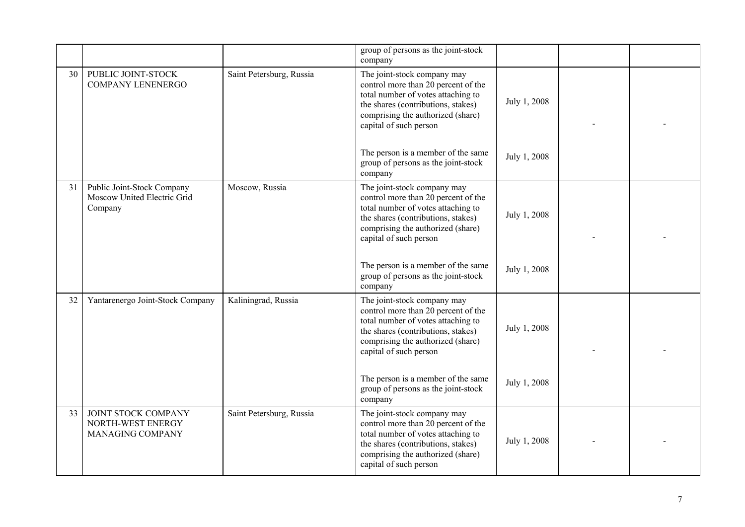|    |                                                                      |                          | group of persons as the joint-stock<br>company                                                                                                                                                                |              |  |
|----|----------------------------------------------------------------------|--------------------------|---------------------------------------------------------------------------------------------------------------------------------------------------------------------------------------------------------------|--------------|--|
| 30 | PUBLIC JOINT-STOCK<br><b>COMPANY LENENERGO</b>                       | Saint Petersburg, Russia | The joint-stock company may<br>control more than 20 percent of the<br>total number of votes attaching to<br>the shares (contributions, stakes)<br>comprising the authorized (share)<br>capital of such person | July 1, 2008 |  |
|    |                                                                      |                          | The person is a member of the same<br>group of persons as the joint-stock<br>company                                                                                                                          | July 1, 2008 |  |
| 31 | Public Joint-Stock Company<br>Moscow United Electric Grid<br>Company | Moscow, Russia           | The joint-stock company may<br>control more than 20 percent of the<br>total number of votes attaching to<br>the shares (contributions, stakes)<br>comprising the authorized (share)<br>capital of such person | July 1, 2008 |  |
|    |                                                                      |                          | The person is a member of the same<br>group of persons as the joint-stock<br>company                                                                                                                          | July 1, 2008 |  |
| 32 | Yantarenergo Joint-Stock Company                                     | Kaliningrad, Russia      | The joint-stock company may<br>control more than 20 percent of the<br>total number of votes attaching to<br>the shares (contributions, stakes)<br>comprising the authorized (share)<br>capital of such person | July 1, 2008 |  |
|    |                                                                      |                          | The person is a member of the same<br>group of persons as the joint-stock<br>company                                                                                                                          | July 1, 2008 |  |
| 33 | JOINT STOCK COMPANY<br>NORTH-WEST ENERGY<br>MANAGING COMPANY         | Saint Petersburg, Russia | The joint-stock company may<br>control more than 20 percent of the<br>total number of votes attaching to<br>the shares (contributions, stakes)<br>comprising the authorized (share)<br>capital of such person | July 1, 2008 |  |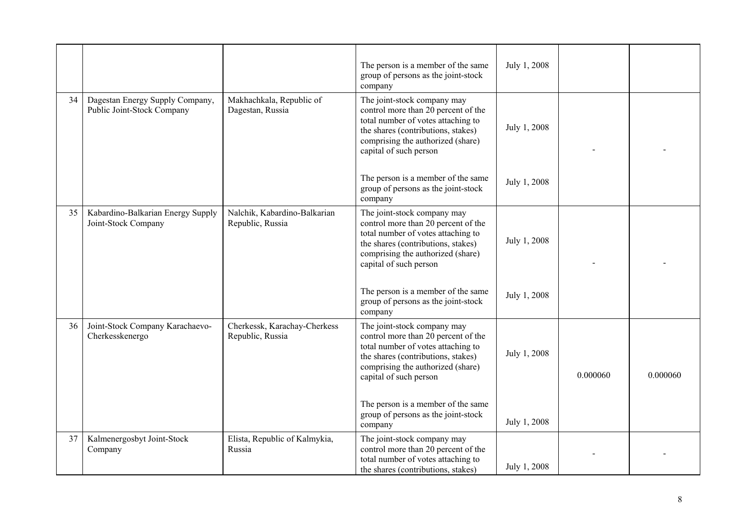|    |                                                               |                                                  | The person is a member of the same<br>group of persons as the joint-stock<br>company                                                                                                                          | July 1, 2008 |          |          |
|----|---------------------------------------------------------------|--------------------------------------------------|---------------------------------------------------------------------------------------------------------------------------------------------------------------------------------------------------------------|--------------|----------|----------|
| 34 | Dagestan Energy Supply Company,<br>Public Joint-Stock Company | Makhachkala, Republic of<br>Dagestan, Russia     | The joint-stock company may<br>control more than 20 percent of the<br>total number of votes attaching to<br>the shares (contributions, stakes)<br>comprising the authorized (share)<br>capital of such person | July 1, 2008 |          |          |
|    |                                                               |                                                  | The person is a member of the same<br>group of persons as the joint-stock<br>company                                                                                                                          | July 1, 2008 |          |          |
| 35 | Kabardino-Balkarian Energy Supply<br>Joint-Stock Company      | Nalchik, Kabardino-Balkarian<br>Republic, Russia | The joint-stock company may<br>control more than 20 percent of the<br>total number of votes attaching to<br>the shares (contributions, stakes)<br>comprising the authorized (share)<br>capital of such person | July 1, 2008 |          |          |
|    |                                                               |                                                  | The person is a member of the same<br>group of persons as the joint-stock<br>company                                                                                                                          | July 1, 2008 |          |          |
| 36 | Joint-Stock Company Karachaevo-<br>Cherkesskenergo            | Cherkessk, Karachay-Cherkess<br>Republic, Russia | The joint-stock company may<br>control more than 20 percent of the<br>total number of votes attaching to<br>the shares (contributions, stakes)<br>comprising the authorized (share)<br>capital of such person | July 1, 2008 | 0.000060 | 0.000060 |
|    |                                                               |                                                  | The person is a member of the same<br>group of persons as the joint-stock<br>company                                                                                                                          | July 1, 2008 |          |          |
| 37 | Kalmenergosbyt Joint-Stock<br>Company                         | Elista, Republic of Kalmykia,<br>Russia          | The joint-stock company may<br>control more than 20 percent of the<br>total number of votes attaching to<br>the shares (contributions, stakes)                                                                | July 1, 2008 |          |          |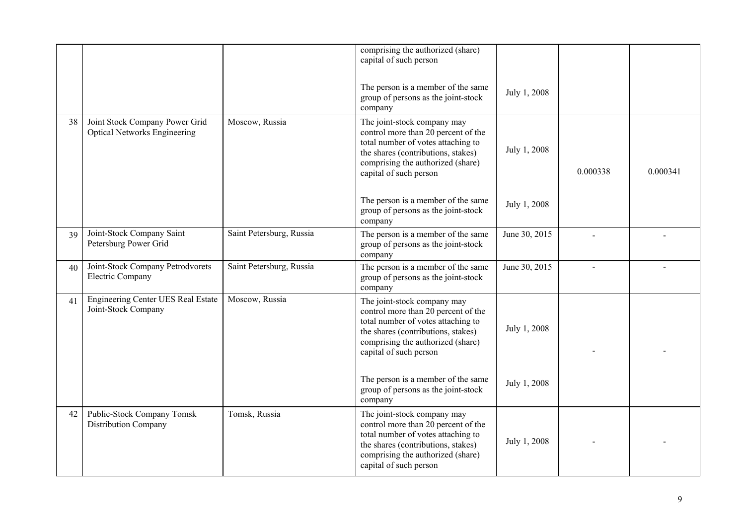|    |                                                                       |                          | comprising the authorized (share)<br>capital of such person                                                                                                                                                   |               |          |          |
|----|-----------------------------------------------------------------------|--------------------------|---------------------------------------------------------------------------------------------------------------------------------------------------------------------------------------------------------------|---------------|----------|----------|
|    |                                                                       |                          | The person is a member of the same<br>group of persons as the joint-stock<br>company                                                                                                                          | July 1, 2008  |          |          |
| 38 | Joint Stock Company Power Grid<br><b>Optical Networks Engineering</b> | Moscow, Russia           | The joint-stock company may<br>control more than 20 percent of the<br>total number of votes attaching to<br>the shares (contributions, stakes)<br>comprising the authorized (share)<br>capital of such person | July 1, 2008  | 0.000338 | 0.000341 |
|    |                                                                       |                          | The person is a member of the same<br>group of persons as the joint-stock<br>company                                                                                                                          | July 1, 2008  |          |          |
| 39 | Joint-Stock Company Saint<br>Petersburg Power Grid                    | Saint Petersburg, Russia | The person is a member of the same<br>group of persons as the joint-stock<br>company                                                                                                                          | June 30, 2015 |          |          |
| 40 | Joint-Stock Company Petrodvorets<br><b>Electric Company</b>           | Saint Petersburg, Russia | The person is a member of the same<br>group of persons as the joint-stock<br>company                                                                                                                          | June 30, 2015 |          |          |
| 41 | Engineering Center UES Real Estate<br>Joint-Stock Company             | Moscow, Russia           | The joint-stock company may<br>control more than 20 percent of the<br>total number of votes attaching to<br>the shares (contributions, stakes)<br>comprising the authorized (share)<br>capital of such person | July 1, 2008  |          |          |
|    |                                                                       |                          | The person is a member of the same<br>group of persons as the joint-stock<br>company                                                                                                                          | July 1, 2008  |          |          |
| 42 | Public-Stock Company Tomsk<br>Distribution Company                    | Tomsk, Russia            | The joint-stock company may<br>control more than 20 percent of the<br>total number of votes attaching to<br>the shares (contributions, stakes)<br>comprising the authorized (share)<br>capital of such person | July 1, 2008  |          |          |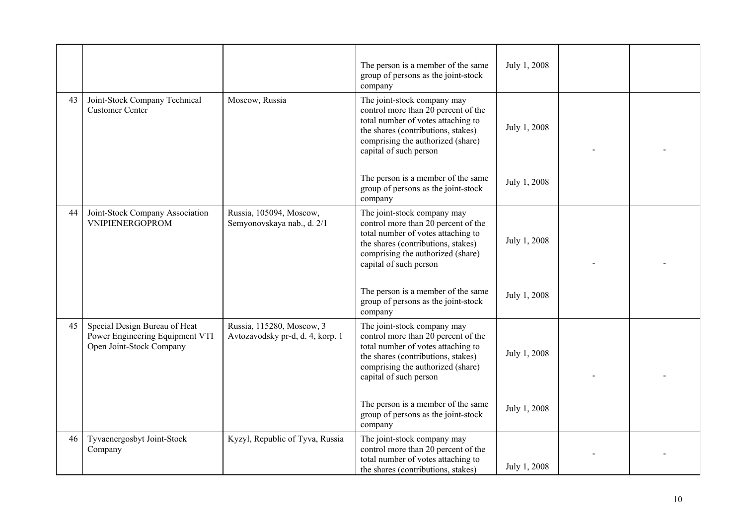|    |                                                                                              |                                                               | The person is a member of the same<br>group of persons as the joint-stock<br>company                                                                                                                          | July 1, 2008 |  |
|----|----------------------------------------------------------------------------------------------|---------------------------------------------------------------|---------------------------------------------------------------------------------------------------------------------------------------------------------------------------------------------------------------|--------------|--|
| 43 | Joint-Stock Company Technical<br><b>Customer Center</b>                                      | Moscow, Russia                                                | The joint-stock company may<br>control more than 20 percent of the<br>total number of votes attaching to<br>the shares (contributions, stakes)<br>comprising the authorized (share)<br>capital of such person | July 1, 2008 |  |
|    |                                                                                              |                                                               | The person is a member of the same<br>group of persons as the joint-stock<br>company                                                                                                                          | July 1, 2008 |  |
| 44 | Joint-Stock Company Association<br>VNIPIENERGOPROM                                           | Russia, 105094, Moscow,<br>Semyonovskaya nab., d. 2/1         | The joint-stock company may<br>control more than 20 percent of the<br>total number of votes attaching to<br>the shares (contributions, stakes)<br>comprising the authorized (share)<br>capital of such person | July 1, 2008 |  |
|    |                                                                                              |                                                               | The person is a member of the same<br>group of persons as the joint-stock<br>company                                                                                                                          | July 1, 2008 |  |
| 45 | Special Design Bureau of Heat<br>Power Engineering Equipment VTI<br>Open Joint-Stock Company | Russia, 115280, Moscow, 3<br>Avtozavodsky pr-d, d. 4, korp. 1 | The joint-stock company may<br>control more than 20 percent of the<br>total number of votes attaching to<br>the shares (contributions, stakes)<br>comprising the authorized (share)<br>capital of such person | July 1, 2008 |  |
|    |                                                                                              |                                                               | The person is a member of the same<br>group of persons as the joint-stock<br>company                                                                                                                          | July 1, 2008 |  |
| 46 | Tyvaenergosbyt Joint-Stock<br>Company                                                        | Kyzyl, Republic of Tyva, Russia                               | The joint-stock company may<br>control more than 20 percent of the<br>total number of votes attaching to<br>the shares (contributions, stakes)                                                                | July 1, 2008 |  |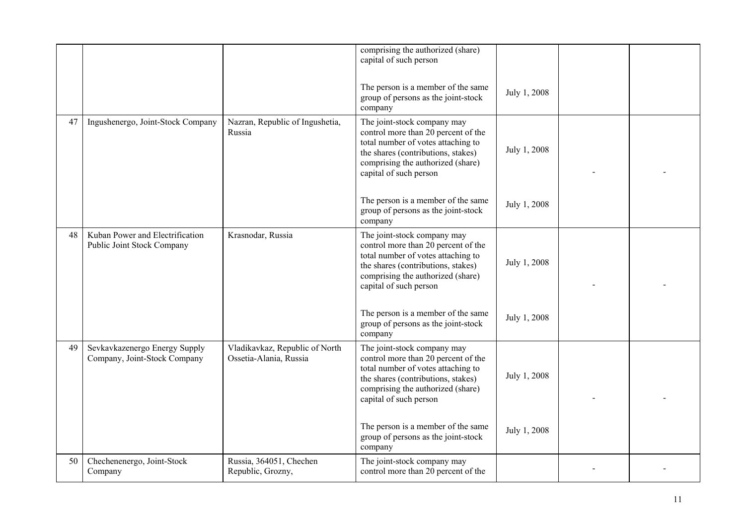|    |                                                               |                                                          | comprising the authorized (share)<br>capital of such person                                                                                                                                                   |              |  |
|----|---------------------------------------------------------------|----------------------------------------------------------|---------------------------------------------------------------------------------------------------------------------------------------------------------------------------------------------------------------|--------------|--|
|    |                                                               |                                                          | The person is a member of the same<br>group of persons as the joint-stock<br>company                                                                                                                          | July 1, 2008 |  |
| 47 | Ingushenergo, Joint-Stock Company                             | Nazran, Republic of Ingushetia,<br>Russia                | The joint-stock company may<br>control more than 20 percent of the<br>total number of votes attaching to<br>the shares (contributions, stakes)<br>comprising the authorized (share)<br>capital of such person | July 1, 2008 |  |
|    |                                                               |                                                          | The person is a member of the same<br>group of persons as the joint-stock<br>company                                                                                                                          | July 1, 2008 |  |
| 48 | Kuban Power and Electrification<br>Public Joint Stock Company | Krasnodar, Russia                                        | The joint-stock company may<br>control more than 20 percent of the<br>total number of votes attaching to<br>the shares (contributions, stakes)<br>comprising the authorized (share)<br>capital of such person | July 1, 2008 |  |
|    |                                                               |                                                          | The person is a member of the same<br>group of persons as the joint-stock<br>company                                                                                                                          | July 1, 2008 |  |
| 49 | Sevkavkazenergo Energy Supply<br>Company, Joint-Stock Company | Vladikavkaz, Republic of North<br>Ossetia-Alania, Russia | The joint-stock company may<br>control more than 20 percent of the<br>total number of votes attaching to<br>the shares (contributions, stakes)<br>comprising the authorized (share)<br>capital of such person | July 1, 2008 |  |
|    |                                                               |                                                          | The person is a member of the same<br>group of persons as the joint-stock<br>company                                                                                                                          | July 1, 2008 |  |
| 50 | Chechenenergo, Joint-Stock<br>Company                         | Russia, 364051, Chechen<br>Republic, Grozny,             | The joint-stock company may<br>control more than 20 percent of the                                                                                                                                            |              |  |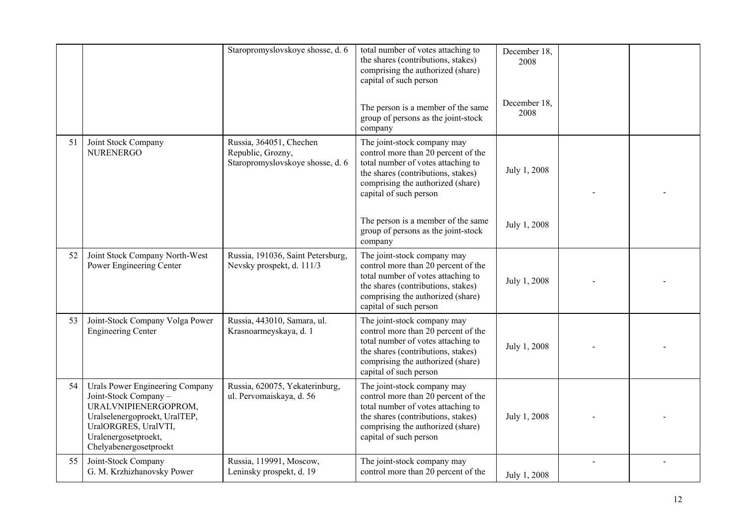|    |                                                                                                                                                                                             | Staropromyslovskoye shosse, d. 6                                                 | total number of votes attaching to<br>the shares (contributions, stakes)<br>comprising the authorized (share)<br>capital of such person                                                                       | December 18,<br>2008 |  |
|----|---------------------------------------------------------------------------------------------------------------------------------------------------------------------------------------------|----------------------------------------------------------------------------------|---------------------------------------------------------------------------------------------------------------------------------------------------------------------------------------------------------------|----------------------|--|
|    |                                                                                                                                                                                             |                                                                                  | The person is a member of the same<br>group of persons as the joint-stock<br>company                                                                                                                          | December 18.<br>2008 |  |
| 51 | Joint Stock Company<br><b>NURENERGO</b>                                                                                                                                                     | Russia, 364051, Chechen<br>Republic, Grozny,<br>Staropromyslovskoye shosse, d. 6 | The joint-stock company may<br>control more than 20 percent of the<br>total number of votes attaching to<br>the shares (contributions, stakes)<br>comprising the authorized (share)<br>capital of such person | July 1, 2008         |  |
|    |                                                                                                                                                                                             |                                                                                  | The person is a member of the same<br>group of persons as the joint-stock<br>company                                                                                                                          | July 1, 2008         |  |
| 52 | Joint Stock Company North-West<br>Power Engineering Center                                                                                                                                  | Russia, 191036, Saint Petersburg,<br>Nevsky prospekt, d. 111/3                   | The joint-stock company may<br>control more than 20 percent of the<br>total number of votes attaching to<br>the shares (contributions, stakes)<br>comprising the authorized (share)<br>capital of such person | July 1, 2008         |  |
| 53 | Joint-Stock Company Volga Power<br><b>Engineering Center</b>                                                                                                                                | Russia, 443010, Samara, ul.<br>Krasnoarmeyskaya, d. 1                            | The joint-stock company may<br>control more than 20 percent of the<br>total number of votes attaching to<br>the shares (contributions, stakes)<br>comprising the authorized (share)<br>capital of such person | July 1, 2008         |  |
| 54 | Urals Power Engineering Company<br>Joint-Stock Company -<br>URALVNIPIENERGOPROM,<br>Uralselenergoproekt, UralTEP,<br>UralORGRES, UralVTI,<br>Uralenergosetproekt,<br>Chelyabenergosetproekt | Russia, 620075, Yekaterinburg,<br>ul. Pervomaiskaya, d. 56                       | The joint-stock company may<br>control more than 20 percent of the<br>total number of votes attaching to<br>the shares (contributions, stakes)<br>comprising the authorized (share)<br>capital of such person | July 1, 2008         |  |
| 55 | Joint-Stock Company<br>G. M. Krzhizhanovsky Power                                                                                                                                           | Russia, 119991, Moscow,<br>Leninsky prospekt, d. 19                              | The joint-stock company may<br>control more than 20 percent of the                                                                                                                                            | July 1, 2008         |  |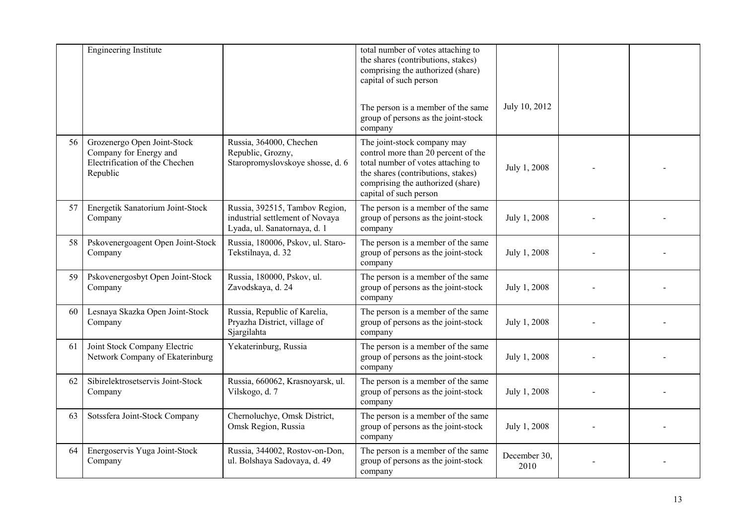|    | <b>Engineering Institute</b>                                                                        |                                                                                                   | total number of votes attaching to<br>the shares (contributions, stakes)<br>comprising the authorized (share)<br>capital of such person                                                                       |                      |  |
|----|-----------------------------------------------------------------------------------------------------|---------------------------------------------------------------------------------------------------|---------------------------------------------------------------------------------------------------------------------------------------------------------------------------------------------------------------|----------------------|--|
|    |                                                                                                     |                                                                                                   | The person is a member of the same<br>group of persons as the joint-stock<br>company                                                                                                                          | July 10, 2012        |  |
| 56 | Grozenergo Open Joint-Stock<br>Company for Energy and<br>Electrification of the Chechen<br>Republic | Russia, 364000, Chechen<br>Republic, Grozny,<br>Staropromyslovskoye shosse, d. 6                  | The joint-stock company may<br>control more than 20 percent of the<br>total number of votes attaching to<br>the shares (contributions, stakes)<br>comprising the authorized (share)<br>capital of such person | July 1, 2008         |  |
| 57 | Energetik Sanatorium Joint-Stock<br>Company                                                         | Russia, 392515, Tambov Region,<br>industrial settlement of Novaya<br>Lyada, ul. Sanatornaya, d. 1 | The person is a member of the same<br>group of persons as the joint-stock<br>company                                                                                                                          | July 1, 2008         |  |
| 58 | Pskovenergoagent Open Joint-Stock<br>Company                                                        | Russia, 180006, Pskov, ul. Staro-<br>Tekstilnaya, d. 32                                           | The person is a member of the same<br>group of persons as the joint-stock<br>company                                                                                                                          | July 1, 2008         |  |
| 59 | Pskovenergosbyt Open Joint-Stock<br>Company                                                         | Russia, 180000, Pskov, ul.<br>Zavodskaya, d. 24                                                   | The person is a member of the same<br>group of persons as the joint-stock<br>company                                                                                                                          | July 1, 2008         |  |
| 60 | Lesnaya Skazka Open Joint-Stock<br>Company                                                          | Russia, Republic of Karelia,<br>Pryazha District, village of<br>Sjargilahta                       | The person is a member of the same<br>group of persons as the joint-stock<br>company                                                                                                                          | July 1, 2008         |  |
| 61 | Joint Stock Company Electric<br>Network Company of Ekaterinburg                                     | Yekaterinburg, Russia                                                                             | The person is a member of the same<br>group of persons as the joint-stock<br>company                                                                                                                          | July 1, 2008         |  |
| 62 | Sibirelektrosetservis Joint-Stock<br>Company                                                        | Russia, 660062, Krasnoyarsk, ul.<br>Vilskogo, d. 7                                                | The person is a member of the same<br>group of persons as the joint-stock<br>company                                                                                                                          | July 1, 2008         |  |
| 63 | Sotssfera Joint-Stock Company                                                                       | Chernoluchye, Omsk District,<br>Omsk Region, Russia                                               | The person is a member of the same<br>group of persons as the joint-stock<br>company                                                                                                                          | July 1, 2008         |  |
| 64 | Energoservis Yuga Joint-Stock<br>Company                                                            | Russia, 344002, Rostov-on-Don,<br>ul. Bolshaya Sadovaya, d. 49                                    | The person is a member of the same<br>group of persons as the joint-stock<br>company                                                                                                                          | December 30,<br>2010 |  |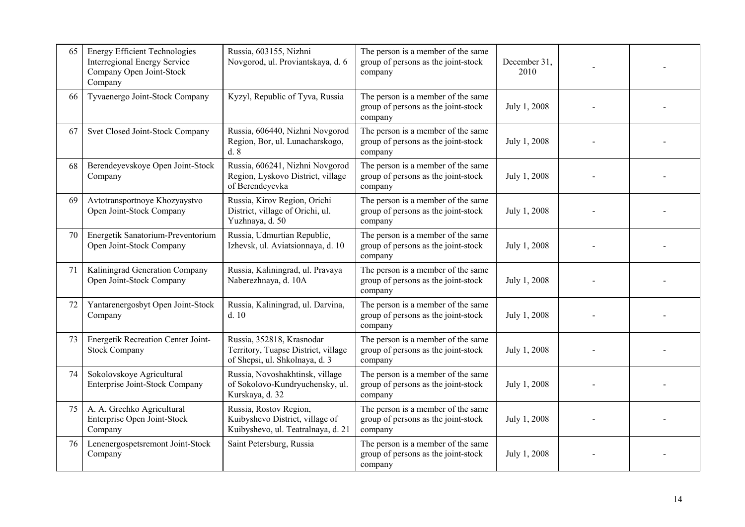| 65 | <b>Energy Efficient Technologies</b><br><b>Interregional Energy Service</b><br>Company Open Joint-Stock<br>Company | Russia, 603155, Nizhni<br>Novgorod, ul. Proviantskaya, d. 6                                        | The person is a member of the same<br>group of persons as the joint-stock<br>company | December 31,<br>2010 |  |
|----|--------------------------------------------------------------------------------------------------------------------|----------------------------------------------------------------------------------------------------|--------------------------------------------------------------------------------------|----------------------|--|
| 66 | Tyvaenergo Joint-Stock Company                                                                                     | Kyzyl, Republic of Tyva, Russia                                                                    | The person is a member of the same<br>group of persons as the joint-stock<br>company | July 1, 2008         |  |
| 67 | Svet Closed Joint-Stock Company                                                                                    | Russia, 606440, Nizhni Novgorod<br>Region, Bor, ul. Lunacharskogo,<br>d.8                          | The person is a member of the same<br>group of persons as the joint-stock<br>company | July 1, 2008         |  |
| 68 | Berendeyevskoye Open Joint-Stock<br>Company                                                                        | Russia, 606241, Nizhni Novgorod<br>Region, Lyskovo District, village<br>of Berendeyevka            | The person is a member of the same<br>group of persons as the joint-stock<br>company | July 1, 2008         |  |
| 69 | Avtotransportnoye Khozyaystvo<br>Open Joint-Stock Company                                                          | Russia, Kirov Region, Orichi<br>District, village of Orichi, ul.<br>Yuzhnaya, d. 50                | The person is a member of the same<br>group of persons as the joint-stock<br>company | July 1, 2008         |  |
| 70 | Energetik Sanatorium-Preventorium<br>Open Joint-Stock Company                                                      | Russia, Udmurtian Republic,<br>Izhevsk, ul. Aviatsionnaya, d. 10                                   | The person is a member of the same<br>group of persons as the joint-stock<br>company | July 1, 2008         |  |
| 71 | Kaliningrad Generation Company<br>Open Joint-Stock Company                                                         | Russia, Kaliningrad, ul. Pravaya<br>Naberezhnaya, d. 10A                                           | The person is a member of the same<br>group of persons as the joint-stock<br>company | July 1, 2008         |  |
| 72 | Yantarenergosbyt Open Joint-Stock<br>Company                                                                       | Russia, Kaliningrad, ul. Darvina,<br>d.10                                                          | The person is a member of the same<br>group of persons as the joint-stock<br>company | July 1, 2008         |  |
| 73 | Energetik Recreation Center Joint-<br><b>Stock Company</b>                                                         | Russia, 352818, Krasnodar<br>Territory, Tuapse District, village<br>of Shepsi, ul. Shkolnaya, d. 3 | The person is a member of the same<br>group of persons as the joint-stock<br>company | July 1, 2008         |  |
| 74 | Sokolovskoye Agricultural<br>Enterprise Joint-Stock Company                                                        | Russia, Novoshakhtinsk, village<br>of Sokolovo-Kundryuchensky, ul.<br>Kurskaya, d. 32              | The person is a member of the same<br>group of persons as the joint-stock<br>company | July 1, 2008         |  |
| 75 | A. A. Grechko Agricultural<br>Enterprise Open Joint-Stock<br>Company                                               | Russia, Rostov Region,<br>Kuibyshevo District, village of<br>Kuibyshevo, ul. Teatralnaya, d. 21    | The person is a member of the same<br>group of persons as the joint-stock<br>company | July 1, 2008         |  |
| 76 | Lenenergospetsremont Joint-Stock<br>Company                                                                        | Saint Petersburg, Russia                                                                           | The person is a member of the same<br>group of persons as the joint-stock<br>company | July 1, 2008         |  |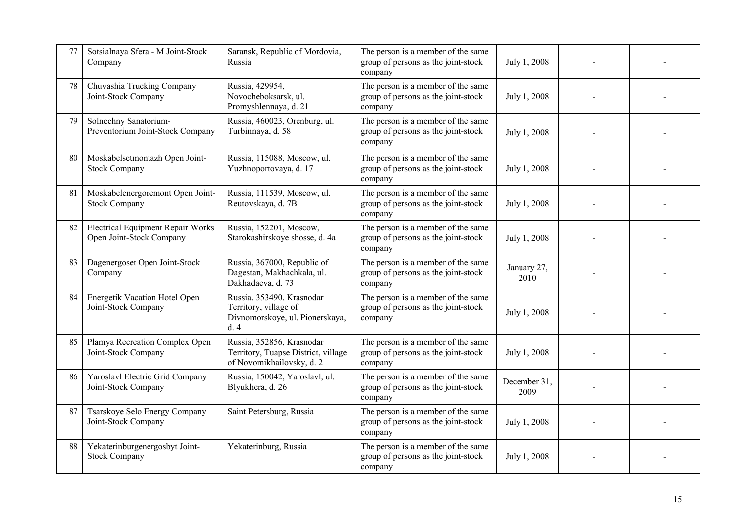| 77 | Sotsialnaya Sfera - M Joint-Stock<br>Company                         | Saransk, Republic of Mordovia,<br>Russia                                                      | The person is a member of the same<br>group of persons as the joint-stock<br>company | July 1, 2008         |  |
|----|----------------------------------------------------------------------|-----------------------------------------------------------------------------------------------|--------------------------------------------------------------------------------------|----------------------|--|
| 78 | Chuvashia Trucking Company<br>Joint-Stock Company                    | Russia, 429954,<br>Novocheboksarsk, ul.<br>Promyshlennaya, d. 21                              | The person is a member of the same<br>group of persons as the joint-stock<br>company | July 1, 2008         |  |
| 79 | Solnechny Sanatorium-<br>Preventorium Joint-Stock Company            | Russia, 460023, Orenburg, ul.<br>Turbinnaya, d. 58                                            | The person is a member of the same<br>group of persons as the joint-stock<br>company | July 1, 2008         |  |
| 80 | Moskabelsetmontazh Open Joint-<br><b>Stock Company</b>               | Russia, 115088, Moscow, ul.<br>Yuzhnoportovaya, d. 17                                         | The person is a member of the same<br>group of persons as the joint-stock<br>company | July 1, 2008         |  |
| 81 | Moskabelenergoremont Open Joint-<br><b>Stock Company</b>             | Russia, 111539, Moscow, ul.<br>Reutovskaya, d. 7B                                             | The person is a member of the same<br>group of persons as the joint-stock<br>company | July 1, 2008         |  |
| 82 | <b>Electrical Equipment Repair Works</b><br>Open Joint-Stock Company | Russia, 152201, Moscow,<br>Starokashirskoye shosse, d. 4a                                     | The person is a member of the same<br>group of persons as the joint-stock<br>company | July 1, 2008         |  |
| 83 | Dagenergoset Open Joint-Stock<br>Company                             | Russia, 367000, Republic of<br>Dagestan, Makhachkala, ul.<br>Dakhadaeva, d. 73                | The person is a member of the same<br>group of persons as the joint-stock<br>company | January 27,<br>2010  |  |
| 84 | Energetik Vacation Hotel Open<br>Joint-Stock Company                 | Russia, 353490, Krasnodar<br>Territory, village of<br>Divnomorskoye, ul. Pionerskaya,<br>d.4  | The person is a member of the same<br>group of persons as the joint-stock<br>company | July 1, 2008         |  |
| 85 | Plamya Recreation Complex Open<br>Joint-Stock Company                | Russia, 352856, Krasnodar<br>Territory, Tuapse District, village<br>of Novomikhailovsky, d. 2 | The person is a member of the same<br>group of persons as the joint-stock<br>company | July 1, 2008         |  |
| 86 | Yaroslavl Electric Grid Company<br>Joint-Stock Company               | Russia, 150042, Yaroslavl, ul.<br>Blyukhera, d. 26                                            | The person is a member of the same<br>group of persons as the joint-stock<br>company | December 31,<br>2009 |  |
| 87 | Tsarskoye Selo Energy Company<br>Joint-Stock Company                 | Saint Petersburg, Russia                                                                      | The person is a member of the same<br>group of persons as the joint-stock<br>company | July 1, 2008         |  |
| 88 | Yekaterinburgenergosbyt Joint-<br><b>Stock Company</b>               | Yekaterinburg, Russia                                                                         | The person is a member of the same<br>group of persons as the joint-stock<br>company | July 1, 2008         |  |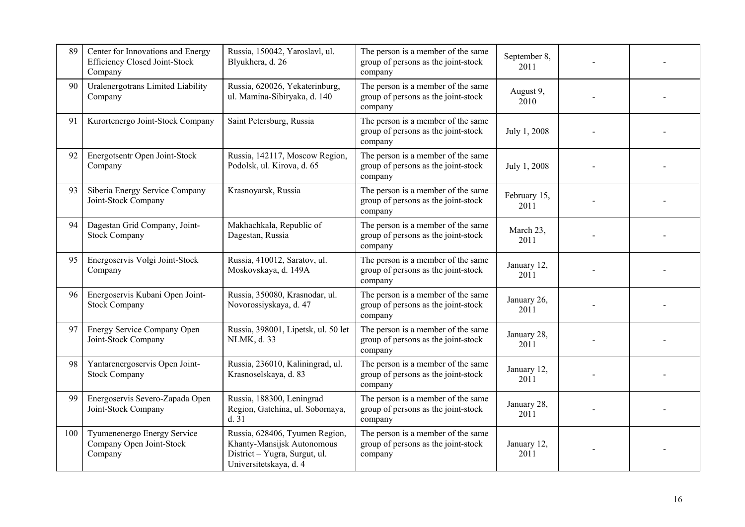| 89  | Center for Innovations and Energy<br>Efficiency Closed Joint-Stock<br>Company | Russia, 150042, Yaroslavl, ul.<br>Blyukhera, d. 26                                                                      | The person is a member of the same<br>group of persons as the joint-stock<br>company | September 8,<br>2011 |  |
|-----|-------------------------------------------------------------------------------|-------------------------------------------------------------------------------------------------------------------------|--------------------------------------------------------------------------------------|----------------------|--|
| 90  | Uralenergotrans Limited Liability<br>Company                                  | Russia, 620026, Yekaterinburg,<br>ul. Mamina-Sibiryaka, d. 140                                                          | The person is a member of the same<br>group of persons as the joint-stock<br>company | August 9,<br>2010    |  |
| 91  | Kurortenergo Joint-Stock Company                                              | Saint Petersburg, Russia                                                                                                | The person is a member of the same<br>group of persons as the joint-stock<br>company | July 1, 2008         |  |
| 92  | Energotsentr Open Joint-Stock<br>Company                                      | Russia, 142117, Moscow Region,<br>Podolsk, ul. Kirova, d. 65                                                            | The person is a member of the same<br>group of persons as the joint-stock<br>company | July 1, 2008         |  |
| 93  | Siberia Energy Service Company<br>Joint-Stock Company                         | Krasnoyarsk, Russia                                                                                                     | The person is a member of the same<br>group of persons as the joint-stock<br>company | February 15,<br>2011 |  |
| 94  | Dagestan Grid Company, Joint-<br><b>Stock Company</b>                         | Makhachkala, Republic of<br>Dagestan, Russia                                                                            | The person is a member of the same<br>group of persons as the joint-stock<br>company | March 23,<br>2011    |  |
| 95  | Energoservis Volgi Joint-Stock<br>Company                                     | Russia, 410012, Saratov, ul.<br>Moskovskaya, d. 149A                                                                    | The person is a member of the same<br>group of persons as the joint-stock<br>company | January 12,<br>2011  |  |
| 96  | Energoservis Kubani Open Joint-<br><b>Stock Company</b>                       | Russia, 350080, Krasnodar, ul.<br>Novorossiyskaya, d. 47                                                                | The person is a member of the same<br>group of persons as the joint-stock<br>company | January 26,<br>2011  |  |
| 97  | Energy Service Company Open<br>Joint-Stock Company                            | Russia, 398001, Lipetsk, ul. 50 let<br>NLMK, d. 33                                                                      | The person is a member of the same<br>group of persons as the joint-stock<br>company | January 28,<br>2011  |  |
| 98  | Yantarenergoservis Open Joint-<br><b>Stock Company</b>                        | Russia, 236010, Kaliningrad, ul.<br>Krasnoselskaya, d. 83                                                               | The person is a member of the same<br>group of persons as the joint-stock<br>company | January 12,<br>2011  |  |
| 99  | Energoservis Severo-Zapada Open<br>Joint-Stock Company                        | Russia, 188300, Leningrad<br>Region, Gatchina, ul. Sobornaya,<br>d.31                                                   | The person is a member of the same<br>group of persons as the joint-stock<br>company | January 28,<br>2011  |  |
| 100 | Tyumenenergo Energy Service<br>Company Open Joint-Stock<br>Company            | Russia, 628406, Tyumen Region,<br>Khanty-Mansijsk Autonomous<br>District - Yugra, Surgut, ul.<br>Universitetskaya, d. 4 | The person is a member of the same<br>group of persons as the joint-stock<br>company | January 12,<br>2011  |  |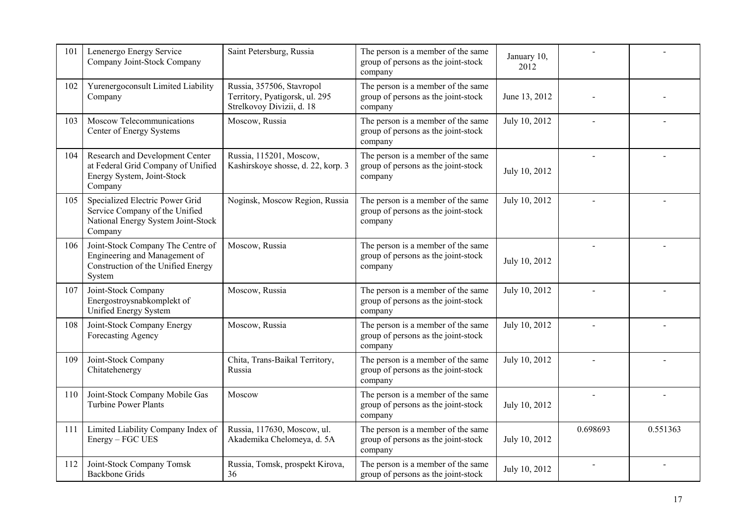| 101 | Lenenergo Energy Service<br>Company Joint-Stock Company                                                            | Saint Petersburg, Russia                                                                 | The person is a member of the same<br>group of persons as the joint-stock<br>company | January 10,<br>2012 |          |          |
|-----|--------------------------------------------------------------------------------------------------------------------|------------------------------------------------------------------------------------------|--------------------------------------------------------------------------------------|---------------------|----------|----------|
| 102 | Yurenergoconsult Limited Liability<br>Company                                                                      | Russia, 357506, Stavropol<br>Territory, Pyatigorsk, ul. 295<br>Strelkovoy Divizii, d. 18 | The person is a member of the same<br>group of persons as the joint-stock<br>company | June 13, 2012       |          |          |
| 103 | Moscow Telecommunications<br>Center of Energy Systems                                                              | Moscow, Russia                                                                           | The person is a member of the same<br>group of persons as the joint-stock<br>company | July 10, 2012       |          |          |
| 104 | Research and Development Center<br>at Federal Grid Company of Unified<br>Energy System, Joint-Stock<br>Company     | Russia, 115201, Moscow,<br>Kashirskoye shosse, d. 22, korp. 3                            | The person is a member of the same<br>group of persons as the joint-stock<br>company | July 10, 2012       |          |          |
| 105 | Specialized Electric Power Grid<br>Service Company of the Unified<br>National Energy System Joint-Stock<br>Company | Noginsk, Moscow Region, Russia                                                           | The person is a member of the same<br>group of persons as the joint-stock<br>company | July 10, 2012       |          |          |
| 106 | Joint-Stock Company The Centre of<br>Engineering and Management of<br>Construction of the Unified Energy<br>System | Moscow, Russia                                                                           | The person is a member of the same<br>group of persons as the joint-stock<br>company | July 10, 2012       |          |          |
| 107 | Joint-Stock Company<br>Energostroysnabkomplekt of<br>Unified Energy System                                         | Moscow, Russia                                                                           | The person is a member of the same<br>group of persons as the joint-stock<br>company | July 10, 2012       |          |          |
| 108 | Joint-Stock Company Energy<br>Forecasting Agency                                                                   | Moscow, Russia                                                                           | The person is a member of the same<br>group of persons as the joint-stock<br>company | July 10, 2012       |          |          |
| 109 | Joint-Stock Company<br>Chitatehenergy                                                                              | Chita, Trans-Baikal Territory,<br>Russia                                                 | The person is a member of the same<br>group of persons as the joint-stock<br>company | July 10, 2012       |          |          |
| 110 | Joint-Stock Company Mobile Gas<br><b>Turbine Power Plants</b>                                                      | Moscow                                                                                   | The person is a member of the same<br>group of persons as the joint-stock<br>company | July 10, 2012       |          |          |
| 111 | Limited Liability Company Index of<br>Energy - FGC UES                                                             | Russia, 117630, Moscow, ul.<br>Akademika Chelomeya, d. 5A                                | The person is a member of the same<br>group of persons as the joint-stock<br>company | July 10, 2012       | 0.698693 | 0.551363 |
| 112 | Joint-Stock Company Tomsk<br><b>Backbone Grids</b>                                                                 | Russia, Tomsk, prospekt Kirova,<br>36                                                    | The person is a member of the same<br>group of persons as the joint-stock            | July 10, 2012       |          |          |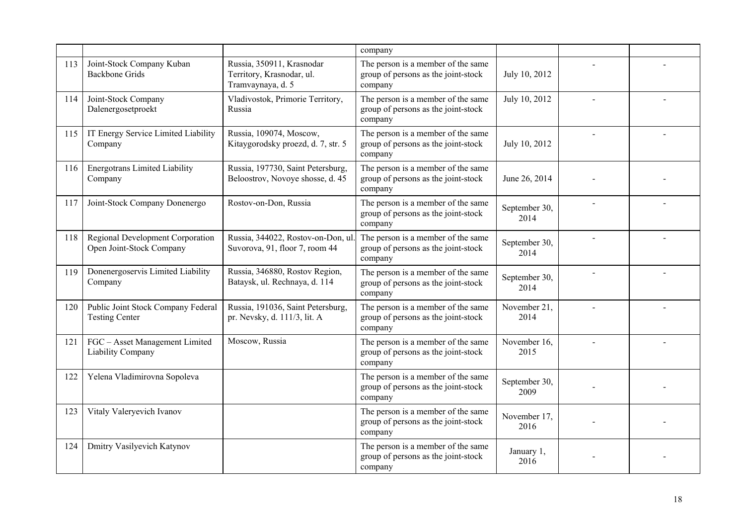|     |                                                              |                                                                             | company                                                                              |                       |  |
|-----|--------------------------------------------------------------|-----------------------------------------------------------------------------|--------------------------------------------------------------------------------------|-----------------------|--|
| 113 | Joint-Stock Company Kuban<br><b>Backbone Grids</b>           | Russia, 350911, Krasnodar<br>Territory, Krasnodar, ul.<br>Tramvaynaya, d. 5 | The person is a member of the same<br>group of persons as the joint-stock<br>company | July 10, 2012         |  |
| 114 | Joint-Stock Company<br>Dalenergosetproekt                    | Vladivostok, Primorie Territory,<br>Russia                                  | The person is a member of the same<br>group of persons as the joint-stock<br>company | July 10, 2012         |  |
| 115 | IT Energy Service Limited Liability<br>Company               | Russia, 109074, Moscow,<br>Kitaygorodsky proezd, d. 7, str. 5               | The person is a member of the same<br>group of persons as the joint-stock<br>company | July 10, 2012         |  |
| 116 | <b>Energotrans Limited Liability</b><br>Company              | Russia, 197730, Saint Petersburg,<br>Beloostrov, Novoye shosse, d. 45       | The person is a member of the same<br>group of persons as the joint-stock<br>company | June 26, 2014         |  |
| 117 | Joint-Stock Company Donenergo                                | Rostov-on-Don, Russia                                                       | The person is a member of the same<br>group of persons as the joint-stock<br>company | September 30,<br>2014 |  |
| 118 | Regional Development Corporation<br>Open Joint-Stock Company | Russia, 344022, Rostov-on-Don, ul.<br>Suvorova, 91, floor 7, room 44        | The person is a member of the same<br>group of persons as the joint-stock<br>company | September 30,<br>2014 |  |
| 119 | Donenergoservis Limited Liability<br>Company                 | Russia, 346880, Rostov Region,<br>Bataysk, ul. Rechnaya, d. 114             | The person is a member of the same<br>group of persons as the joint-stock<br>company | September 30,<br>2014 |  |
| 120 | Public Joint Stock Company Federal<br><b>Testing Center</b>  | Russia, 191036, Saint Petersburg,<br>pr. Nevsky, d. 111/3, lit. A           | The person is a member of the same<br>group of persons as the joint-stock<br>company | November 21,<br>2014  |  |
| 121 | FGC - Asset Management Limited<br>Liability Company          | Moscow, Russia                                                              | The person is a member of the same<br>group of persons as the joint-stock<br>company | November 16,<br>2015  |  |
| 122 | Yelena Vladimirovna Sopoleva                                 |                                                                             | The person is a member of the same<br>group of persons as the joint-stock<br>company | September 30,<br>2009 |  |
| 123 | Vitaly Valeryevich Ivanov                                    |                                                                             | The person is a member of the same<br>group of persons as the joint-stock<br>company | November 17,<br>2016  |  |
| 124 | Dmitry Vasilyevich Katynov                                   |                                                                             | The person is a member of the same<br>group of persons as the joint-stock<br>company | January 1,<br>2016    |  |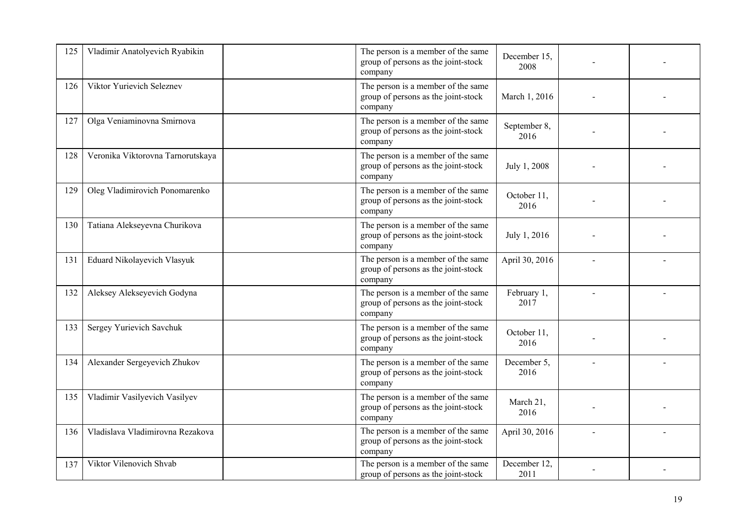| 125 | Vladimir Anatolyevich Ryabikin     | The person is a member of the same<br>group of persons as the joint-stock<br>company | December 15.<br>2008 |  |
|-----|------------------------------------|--------------------------------------------------------------------------------------|----------------------|--|
| 126 | Viktor Yurievich Seleznev          | The person is a member of the same<br>group of persons as the joint-stock<br>company | March 1, 2016        |  |
| 127 | Olga Veniaminovna Smirnova         | The person is a member of the same<br>group of persons as the joint-stock<br>company | September 8,<br>2016 |  |
| 128 | Veronika Viktorovna Tarnorutskaya  | The person is a member of the same<br>group of persons as the joint-stock<br>company | July 1, 2008         |  |
| 129 | Oleg Vladimirovich Ponomarenko     | The person is a member of the same<br>group of persons as the joint-stock<br>company | October 11,<br>2016  |  |
| 130 | Tatiana Alekseyevna Churikova      | The person is a member of the same<br>group of persons as the joint-stock<br>company | July 1, 2016         |  |
| 131 | <b>Eduard Nikolayevich Vlasyuk</b> | The person is a member of the same<br>group of persons as the joint-stock<br>company | April 30, 2016       |  |
| 132 | Aleksey Alekseyevich Godyna        | The person is a member of the same<br>group of persons as the joint-stock<br>company | February 1,<br>2017  |  |
| 133 | Sergey Yurievich Savchuk           | The person is a member of the same<br>group of persons as the joint-stock<br>company | October 11,<br>2016  |  |
| 134 | Alexander Sergeyevich Zhukov       | The person is a member of the same<br>group of persons as the joint-stock<br>company | December 5,<br>2016  |  |
| 135 | Vladimir Vasilyevich Vasilyev      | The person is a member of the same<br>group of persons as the joint-stock<br>company | March 21,<br>2016    |  |
| 136 | Vladislava Vladimirovna Rezakova   | The person is a member of the same<br>group of persons as the joint-stock<br>company | April 30, 2016       |  |
| 137 | Viktor Vilenovich Shvab            | The person is a member of the same<br>group of persons as the joint-stock            | December 12,<br>2011 |  |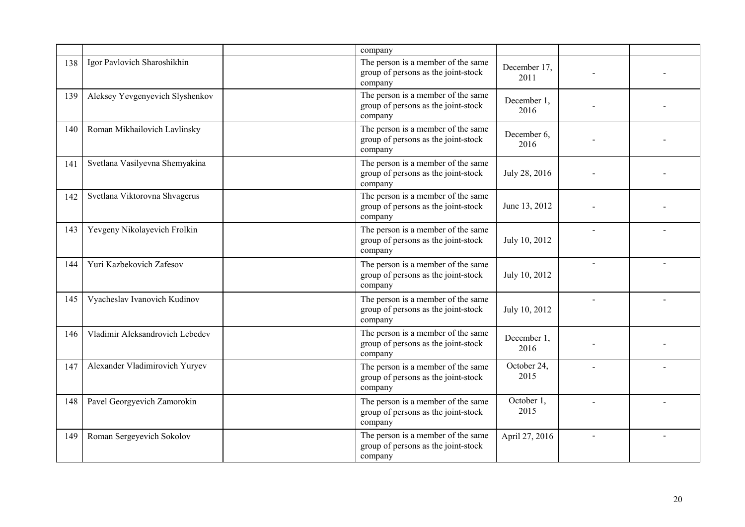|     |                                 | company                                                                              |                      |                          |  |
|-----|---------------------------------|--------------------------------------------------------------------------------------|----------------------|--------------------------|--|
| 138 | Igor Pavlovich Sharoshikhin     | The person is a member of the same<br>group of persons as the joint-stock<br>company | December 17,<br>2011 |                          |  |
| 139 | Aleksey Yevgenyevich Slyshenkov | The person is a member of the same<br>group of persons as the joint-stock<br>company | December 1,<br>2016  |                          |  |
| 140 | Roman Mikhailovich Lavlinsky    | The person is a member of the same<br>group of persons as the joint-stock<br>company | December 6,<br>2016  |                          |  |
| 141 | Svetlana Vasilyevna Shemyakina  | The person is a member of the same<br>group of persons as the joint-stock<br>company | July 28, 2016        |                          |  |
| 142 | Svetlana Viktorovna Shvagerus   | The person is a member of the same<br>group of persons as the joint-stock<br>company | June 13, 2012        |                          |  |
| 143 | Yevgeny Nikolayevich Frolkin    | The person is a member of the same<br>group of persons as the joint-stock<br>company | July 10, 2012        |                          |  |
| 144 | Yuri Kazbekovich Zafesov        | The person is a member of the same<br>group of persons as the joint-stock<br>company | July 10, 2012        | $\overline{\phantom{a}}$ |  |
| 145 | Vyacheslav Ivanovich Kudinov    | The person is a member of the same<br>group of persons as the joint-stock<br>company | July 10, 2012        | $\overline{a}$           |  |
| 146 | Vladimir Aleksandrovich Lebedev | The person is a member of the same<br>group of persons as the joint-stock<br>company | December 1,<br>2016  |                          |  |
| 147 | Alexander Vladimirovich Yuryev  | The person is a member of the same<br>group of persons as the joint-stock<br>company | October 24,<br>2015  |                          |  |
| 148 | Pavel Georgyevich Zamorokin     | The person is a member of the same<br>group of persons as the joint-stock<br>company | October 1,<br>2015   |                          |  |
| 149 | Roman Sergeyevich Sokolov       | The person is a member of the same<br>group of persons as the joint-stock<br>company | April 27, 2016       |                          |  |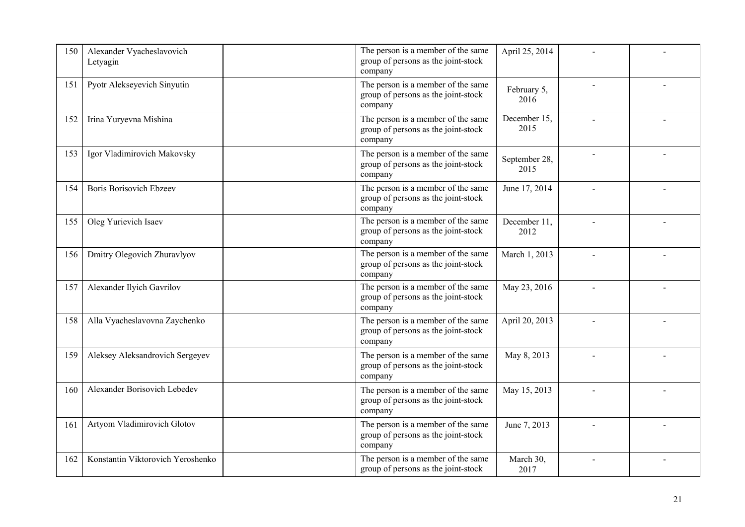| 150 | Alexander Vyacheslavovich<br>Letyagin | The person is a member of the same<br>group of persons as the joint-stock<br>company | April 25, 2014        |  |
|-----|---------------------------------------|--------------------------------------------------------------------------------------|-----------------------|--|
| 151 | Pyotr Alekseyevich Sinyutin           | The person is a member of the same<br>group of persons as the joint-stock<br>company | February 5,<br>2016   |  |
| 152 | Irina Yuryevna Mishina                | The person is a member of the same<br>group of persons as the joint-stock<br>company | December 15,<br>2015  |  |
| 153 | Igor Vladimirovich Makovsky           | The person is a member of the same<br>group of persons as the joint-stock<br>company | September 28,<br>2015 |  |
| 154 | <b>Boris Borisovich Ebzeev</b>        | The person is a member of the same<br>group of persons as the joint-stock<br>company | June 17, 2014         |  |
| 155 | Oleg Yurievich Isaev                  | The person is a member of the same<br>group of persons as the joint-stock<br>company | December 11,<br>2012  |  |
| 156 | Dmitry Olegovich Zhuravlyov           | The person is a member of the same<br>group of persons as the joint-stock<br>company | March 1, 2013         |  |
| 157 | Alexander Ilyich Gavrilov             | The person is a member of the same<br>group of persons as the joint-stock<br>company | May 23, 2016          |  |
| 158 | Alla Vyacheslavovna Zaychenko         | The person is a member of the same<br>group of persons as the joint-stock<br>company | April 20, 2013        |  |
| 159 | Aleksey Aleksandrovich Sergeyev       | The person is a member of the same<br>group of persons as the joint-stock<br>company | May 8, 2013           |  |
| 160 | Alexander Borisovich Lebedev          | The person is a member of the same<br>group of persons as the joint-stock<br>company | May 15, 2013          |  |
| 161 | Artyom Vladimirovich Glotov           | The person is a member of the same<br>group of persons as the joint-stock<br>company | June 7, 2013          |  |
| 162 | Konstantin Viktorovich Yeroshenko     | The person is a member of the same<br>group of persons as the joint-stock            | March 30,<br>2017     |  |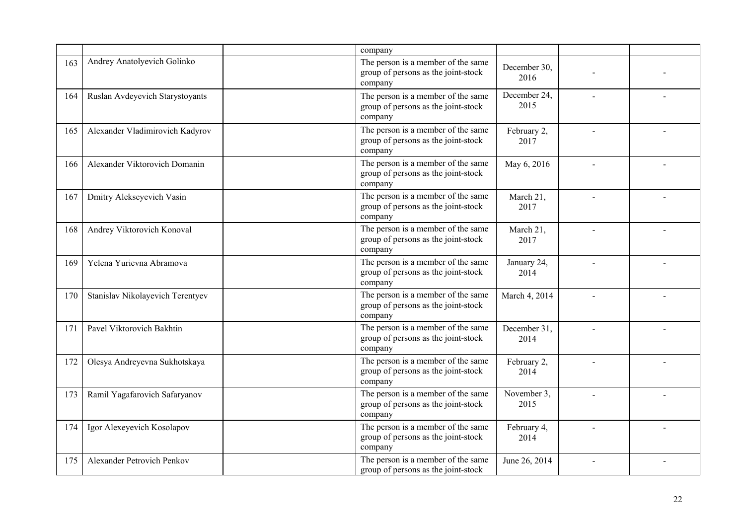|     |                                   | company                                                                              |                      |  |
|-----|-----------------------------------|--------------------------------------------------------------------------------------|----------------------|--|
| 163 | Andrey Anatolyevich Golinko       | The person is a member of the same<br>group of persons as the joint-stock<br>company | December 30.<br>2016 |  |
| 164 | Ruslan Avdeyevich Starystoyants   | The person is a member of the same<br>group of persons as the joint-stock<br>company | December 24,<br>2015 |  |
| 165 | Alexander Vladimirovich Kadyrov   | The person is a member of the same<br>group of persons as the joint-stock<br>company | February 2,<br>2017  |  |
| 166 | Alexander Viktorovich Domanin     | The person is a member of the same<br>group of persons as the joint-stock<br>company | May 6, 2016          |  |
| 167 | Dmitry Alekseyevich Vasin         | The person is a member of the same<br>group of persons as the joint-stock<br>company | March 21,<br>2017    |  |
| 168 | Andrey Viktorovich Konoval        | The person is a member of the same<br>group of persons as the joint-stock<br>company | March 21,<br>2017    |  |
| 169 | Yelena Yurievna Abramova          | The person is a member of the same<br>group of persons as the joint-stock<br>company | January 24,<br>2014  |  |
| 170 | Stanislav Nikolayevich Terentyev  | The person is a member of the same<br>group of persons as the joint-stock<br>company | March 4, 2014        |  |
| 171 | Pavel Viktorovich Bakhtin         | The person is a member of the same<br>group of persons as the joint-stock<br>company | December 31,<br>2014 |  |
| 172 | Olesya Andreyevna Sukhotskaya     | The person is a member of the same<br>group of persons as the joint-stock<br>company | February 2,<br>2014  |  |
| 173 | Ramil Yagafarovich Safaryanov     | The person is a member of the same<br>group of persons as the joint-stock<br>company | November 3,<br>2015  |  |
| 174 | Igor Alexeyevich Kosolapov        | The person is a member of the same<br>group of persons as the joint-stock<br>company | February 4,<br>2014  |  |
| 175 | <b>Alexander Petrovich Penkov</b> | The person is a member of the same<br>group of persons as the joint-stock            | June 26, 2014        |  |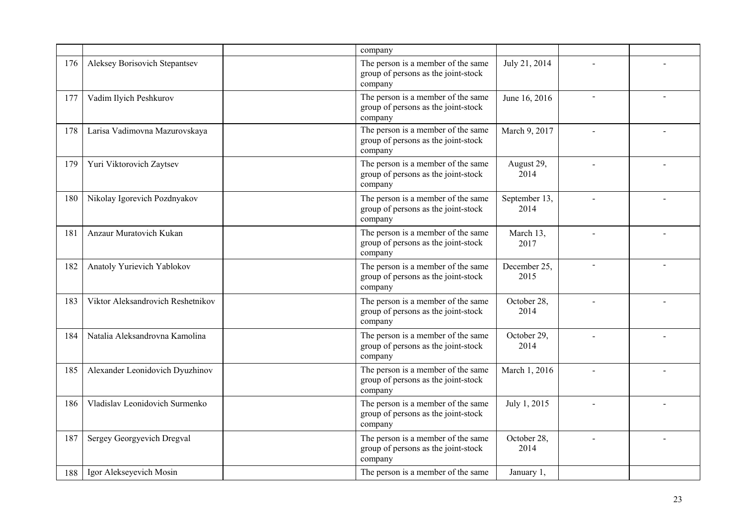|     |                                   | company                                                                              |                       |  |
|-----|-----------------------------------|--------------------------------------------------------------------------------------|-----------------------|--|
| 176 | Aleksey Borisovich Stepantsev     | The person is a member of the same<br>group of persons as the joint-stock<br>company | July 21, 2014         |  |
| 177 | Vadim Ilyich Peshkurov            | The person is a member of the same<br>group of persons as the joint-stock<br>company | June 16, 2016         |  |
| 178 | Larisa Vadimovna Mazurovskaya     | The person is a member of the same<br>group of persons as the joint-stock<br>company | March 9, 2017         |  |
| 179 | Yuri Viktorovich Zaytsev          | The person is a member of the same<br>group of persons as the joint-stock<br>company | August 29,<br>2014    |  |
| 180 | Nikolay Igorevich Pozdnyakov      | The person is a member of the same<br>group of persons as the joint-stock<br>company | September 13,<br>2014 |  |
| 181 | Anzaur Muratovich Kukan           | The person is a member of the same<br>group of persons as the joint-stock<br>company | March 13,<br>2017     |  |
| 182 | Anatoly Yurievich Yablokov        | The person is a member of the same<br>group of persons as the joint-stock<br>company | December 25,<br>2015  |  |
| 183 | Viktor Aleksandrovich Reshetnikov | The person is a member of the same<br>group of persons as the joint-stock<br>company | October 28,<br>2014   |  |
| 184 | Natalia Aleksandrovna Kamolina    | The person is a member of the same<br>group of persons as the joint-stock<br>company | October 29,<br>2014   |  |
| 185 | Alexander Leonidovich Dyuzhinov   | The person is a member of the same<br>group of persons as the joint-stock<br>company | March 1, 2016         |  |
| 186 | Vladislav Leonidovich Surmenko    | The person is a member of the same<br>group of persons as the joint-stock<br>company | July 1, 2015          |  |
| 187 | Sergey Georgyevich Dregval        | The person is a member of the same<br>group of persons as the joint-stock<br>company | October 28,<br>2014   |  |
| 188 | Igor Alekseyevich Mosin           | The person is a member of the same                                                   | January 1,            |  |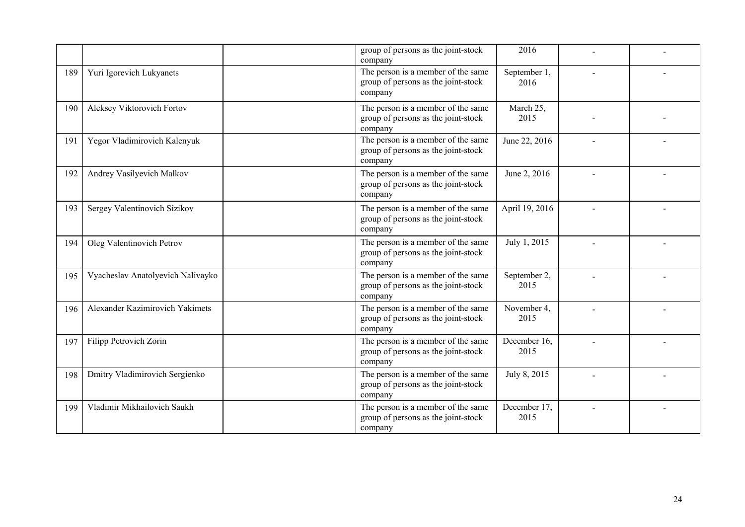|     |                                   | group of persons as the joint-stock<br>company                                       | 2016                 |  |
|-----|-----------------------------------|--------------------------------------------------------------------------------------|----------------------|--|
| 189 | Yuri Igorevich Lukyanets          | The person is a member of the same<br>group of persons as the joint-stock<br>company | September 1,<br>2016 |  |
| 190 | Aleksey Viktorovich Fortov        | The person is a member of the same<br>group of persons as the joint-stock<br>company | March 25,<br>2015    |  |
| 191 | Yegor Vladimirovich Kalenyuk      | The person is a member of the same<br>group of persons as the joint-stock<br>company | June 22, 2016        |  |
| 192 | Andrey Vasilyevich Malkov         | The person is a member of the same<br>group of persons as the joint-stock<br>company | June 2, 2016         |  |
| 193 | Sergey Valentinovich Sizikov      | The person is a member of the same<br>group of persons as the joint-stock<br>company | April 19, 2016       |  |
| 194 | Oleg Valentinovich Petrov         | The person is a member of the same<br>group of persons as the joint-stock<br>company | July 1, 2015         |  |
| 195 | Vyacheslav Anatolyevich Nalivayko | The person is a member of the same<br>group of persons as the joint-stock<br>company | September 2,<br>2015 |  |
| 196 | Alexander Kazimirovich Yakimets   | The person is a member of the same<br>group of persons as the joint-stock<br>company | November 4,<br>2015  |  |
| 197 | Filipp Petrovich Zorin            | The person is a member of the same<br>group of persons as the joint-stock<br>company | December 16,<br>2015 |  |
| 198 | Dmitry Vladimirovich Sergienko    | The person is a member of the same<br>group of persons as the joint-stock<br>company | July 8, 2015         |  |
| 199 | Vladimir Mikhailovich Saukh       | The person is a member of the same<br>group of persons as the joint-stock<br>company | December 17,<br>2015 |  |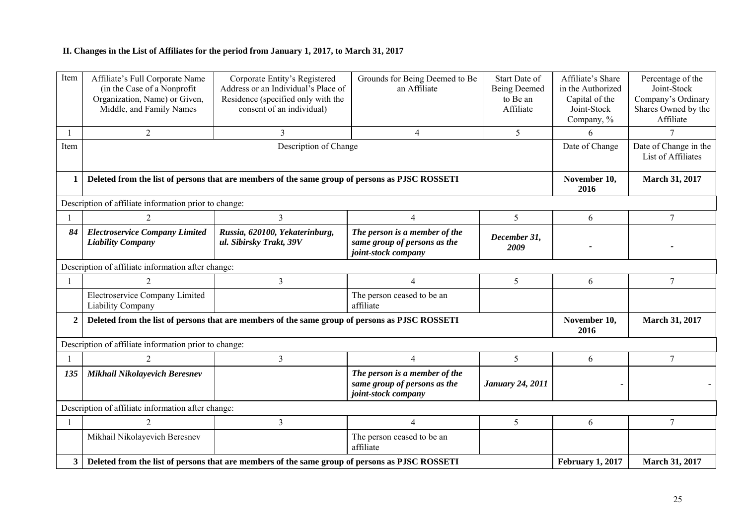## **II. Changes in the List of Affiliates for the period from January 1, 2017, to March 31, 2017**

| Item           | Affiliate's Full Corporate Name<br>(in the Case of a Nonprofit)<br>Organization, Name) or Given,<br>Middle, and Family Names | Corporate Entity's Registered<br>Address or an Individual's Place of<br>Residence (specified only with the<br>consent of an individual) | Grounds for Being Deemed to Be<br>an Affiliate                                       | Start Date of<br><b>Being Deemed</b><br>to Be an<br>Affiliate | Affiliate's Share<br>in the Authorized<br>Capital of the<br>Joint-Stock<br>Company, % | Percentage of the<br>Joint-Stock<br>Company's Ordinary<br>Shares Owned by the<br>Affiliate |
|----------------|------------------------------------------------------------------------------------------------------------------------------|-----------------------------------------------------------------------------------------------------------------------------------------|--------------------------------------------------------------------------------------|---------------------------------------------------------------|---------------------------------------------------------------------------------------|--------------------------------------------------------------------------------------------|
|                | 2                                                                                                                            | 3                                                                                                                                       | $\overline{4}$                                                                       | 5                                                             | 6                                                                                     | 7                                                                                          |
| Item           |                                                                                                                              | Description of Change                                                                                                                   |                                                                                      |                                                               | Date of Change                                                                        | Date of Change in the<br>List of Affiliates                                                |
|                |                                                                                                                              | Deleted from the list of persons that are members of the same group of persons as PJSC ROSSETI                                          |                                                                                      |                                                               | November 10,<br>2016                                                                  | March 31, 2017                                                                             |
|                | Description of affiliate information prior to change:                                                                        |                                                                                                                                         |                                                                                      |                                                               |                                                                                       |                                                                                            |
|                | $\overline{c}$                                                                                                               | 3                                                                                                                                       | $\overline{4}$                                                                       | 5                                                             | 6                                                                                     | 7                                                                                          |
| 84             | <b>Electroservice Company Limited</b><br><b>Liability Company</b>                                                            | Russia, 620100, Yekaterinburg,<br>ul. Sibirsky Trakt, 39V                                                                               | The person is a member of the<br>same group of persons as the<br>joint-stock company | December 31,<br>2009                                          |                                                                                       |                                                                                            |
|                | Description of affiliate information after change:                                                                           |                                                                                                                                         |                                                                                      |                                                               |                                                                                       |                                                                                            |
|                | $\overline{c}$                                                                                                               | 3                                                                                                                                       | $\overline{4}$                                                                       | 5                                                             | 6                                                                                     | 7                                                                                          |
|                | Electroservice Company Limited<br>Liability Company                                                                          |                                                                                                                                         | The person ceased to be an<br>affiliate                                              |                                                               |                                                                                       |                                                                                            |
| $\overline{2}$ |                                                                                                                              | Deleted from the list of persons that are members of the same group of persons as PJSC ROSSETI                                          |                                                                                      |                                                               | November 10,<br>2016                                                                  | March 31, 2017                                                                             |
|                | Description of affiliate information prior to change:                                                                        |                                                                                                                                         |                                                                                      |                                                               |                                                                                       |                                                                                            |
|                | $\overline{2}$                                                                                                               | $\overline{3}$                                                                                                                          | $\overline{4}$                                                                       | 5                                                             | 6                                                                                     | $\overline{7}$                                                                             |
| 135            | Mikhail Nikolayevich Beresnev                                                                                                |                                                                                                                                         | The person is a member of the<br>same group of persons as the<br>joint-stock company | <b>January 24, 2011</b>                                       |                                                                                       |                                                                                            |
|                | Description of affiliate information after change:                                                                           |                                                                                                                                         |                                                                                      |                                                               |                                                                                       |                                                                                            |
|                | $\overline{2}$                                                                                                               | $\overline{3}$                                                                                                                          | $\overline{4}$                                                                       | 5                                                             | 6                                                                                     | 7                                                                                          |
|                | Mikhail Nikolayevich Beresnev                                                                                                |                                                                                                                                         | The person ceased to be an<br>affiliate                                              |                                                               |                                                                                       |                                                                                            |
| $3^{\circ}$    |                                                                                                                              | Deleted from the list of persons that are members of the same group of persons as PJSC ROSSETI                                          |                                                                                      |                                                               | <b>February 1, 2017</b>                                                               | March 31, 2017                                                                             |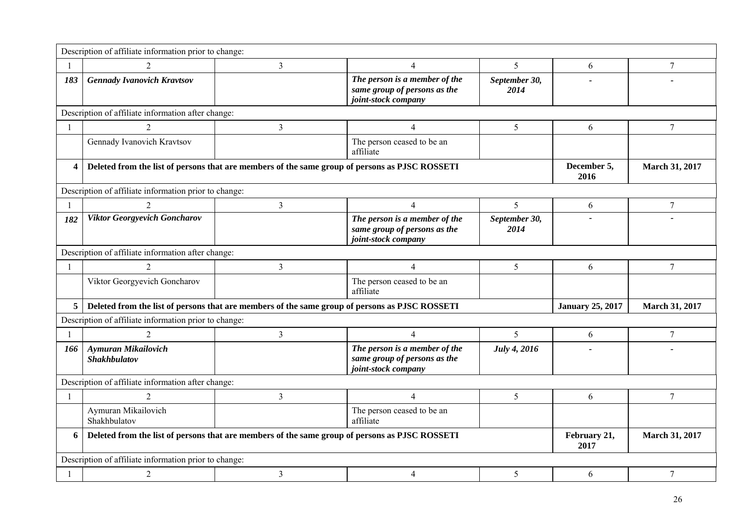|              | Description of affiliate information prior to change: |                                                                                                |                                                                                      |                       |                         |                       |
|--------------|-------------------------------------------------------|------------------------------------------------------------------------------------------------|--------------------------------------------------------------------------------------|-----------------------|-------------------------|-----------------------|
| 1            |                                                       | $\overline{3}$                                                                                 | $\overline{4}$                                                                       | 5                     | 6                       | $\boldsymbol{7}$      |
| 183          | <b>Gennady Ivanovich Kravtsov</b>                     |                                                                                                | The person is a member of the<br>same group of persons as the<br>joint-stock company | September 30,<br>2014 |                         |                       |
|              | Description of affiliate information after change:    |                                                                                                |                                                                                      |                       |                         |                       |
| $\mathbf{1}$ | $\mathcal{D}_{\mathcal{A}}$                           | $\mathfrak{Z}$                                                                                 | $\overline{4}$                                                                       | 5                     | 6                       | $\overline{7}$        |
|              | Gennady Ivanovich Kravtsov                            |                                                                                                | The person ceased to be an<br>affiliate                                              |                       |                         |                       |
| 4            |                                                       | Deleted from the list of persons that are members of the same group of persons as PJSC ROSSETI |                                                                                      |                       | December 5,<br>2016     | <b>March 31, 2017</b> |
|              | Description of affiliate information prior to change: |                                                                                                |                                                                                      |                       |                         |                       |
| 1            | $\mathcal{D}_{\mathcal{L}}$                           | $\overline{3}$                                                                                 | $\overline{4}$                                                                       | $\overline{5}$        | 6                       | $\boldsymbol{7}$      |
| 182          | <b>Viktor Georgyevich Goncharov</b>                   |                                                                                                | The person is a member of the<br>same group of persons as the<br>joint-stock company | September 30,<br>2014 |                         |                       |
|              | Description of affiliate information after change:    |                                                                                                |                                                                                      |                       |                         |                       |
| $\mathbf{1}$ | 2                                                     | $\mathfrak{Z}$                                                                                 | 4                                                                                    | 5                     | 6                       | $\tau$                |
|              | Viktor Georgyevich Goncharov                          |                                                                                                | The person ceased to be an<br>affiliate                                              |                       |                         |                       |
|              |                                                       |                                                                                                |                                                                                      |                       |                         |                       |
| 5            |                                                       | Deleted from the list of persons that are members of the same group of persons as PJSC ROSSETI |                                                                                      |                       | <b>January 25, 2017</b> | <b>March 31, 2017</b> |
|              | Description of affiliate information prior to change: |                                                                                                |                                                                                      |                       |                         |                       |
| $\mathbf{1}$ | $\overline{2}$                                        | $\overline{3}$                                                                                 | $\overline{4}$                                                                       | $\overline{5}$        | 6                       | $\overline{7}$        |
| 166          | <b>Aymuran Mikailovich</b><br><b>Shakhbulatov</b>     |                                                                                                | The person is a member of the<br>same group of persons as the<br>joint-stock company | July 4, 2016          |                         |                       |
|              | Description of affiliate information after change:    |                                                                                                |                                                                                      |                       |                         |                       |
| $\mathbf{1}$ | $\overline{2}$                                        | $\overline{3}$                                                                                 | $\overline{4}$                                                                       | 5                     | 6                       | 7                     |
|              | Aymuran Mikailovich<br>Shakhbulatov                   |                                                                                                | The person ceased to be an<br>affiliate                                              |                       |                         |                       |
| 6            |                                                       | Deleted from the list of persons that are members of the same group of persons as PJSC ROSSETI |                                                                                      |                       | February 21,<br>2017    | March 31, 2017        |
|              | Description of affiliate information prior to change: |                                                                                                |                                                                                      |                       |                         |                       |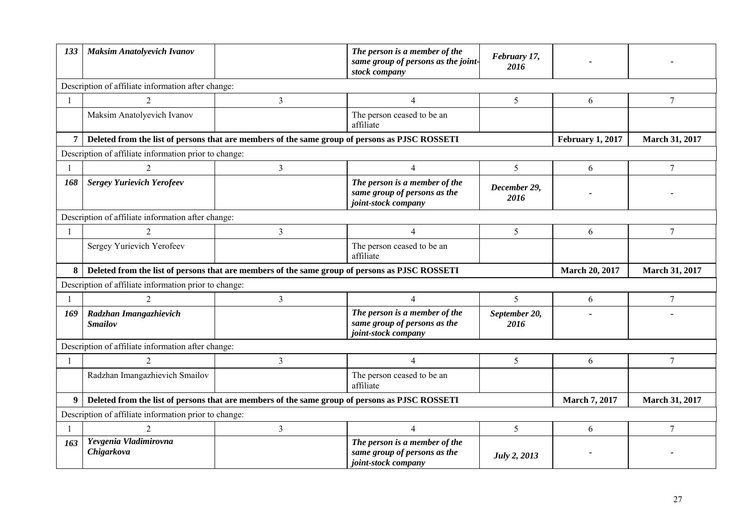| 133          | <b>Maksim Anatolyevich Ivanov</b>                                                              |                | The person is a member of the<br>same group of persons as the joint-<br>stock company | February 17,<br>2016  |                         |                       |
|--------------|------------------------------------------------------------------------------------------------|----------------|---------------------------------------------------------------------------------------|-----------------------|-------------------------|-----------------------|
|              | Description of affiliate information after change:                                             |                |                                                                                       |                       |                         |                       |
| $\mathbf{1}$ | $\overline{2}$                                                                                 | $\mathfrak{Z}$ | $\overline{4}$                                                                        | 5                     | 6                       | 7                     |
|              | Maksim Anatolyevich Ivanov                                                                     |                | The person ceased to be an<br>affiliate                                               |                       |                         |                       |
| 7            | Deleted from the list of persons that are members of the same group of persons as PJSC ROSSETI |                |                                                                                       |                       | <b>February 1, 2017</b> | March 31, 2017        |
|              | Description of affiliate information prior to change:                                          |                |                                                                                       |                       |                         |                       |
| -1           | $\overline{2}$                                                                                 | $\overline{3}$ | $\overline{4}$                                                                        | 5                     | 6                       | 7                     |
| 168          | <b>Sergey Yurievich Yerofeev</b>                                                               |                | The person is a member of the<br>same group of persons as the<br>joint-stock company  | December 29,<br>2016  |                         |                       |
|              | Description of affiliate information after change:                                             |                |                                                                                       |                       |                         |                       |
| $\mathbf{1}$ | $\mathcal{D}_{\mathcal{L}}$                                                                    | $\mathfrak{Z}$ | $\overline{\mathcal{A}}$                                                              | 5                     | 6                       | 7                     |
|              | Sergey Yurievich Yerofeev                                                                      |                | The person ceased to be an<br>affiliate                                               |                       |                         |                       |
| 8            | Deleted from the list of persons that are members of the same group of persons as PJSC ROSSETI |                |                                                                                       |                       | <b>March 20, 2017</b>   | <b>March 31, 2017</b> |
|              | Description of affiliate information prior to change:                                          |                |                                                                                       |                       |                         |                       |
| -1           |                                                                                                | 3              | 4                                                                                     | 5 <sup>1</sup>        | 6                       | 7                     |
| 169          | Radzhan Imangazhievich<br><b>Smailov</b>                                                       |                | The person is a member of the<br>same group of persons as the<br>joint-stock company  | September 20,<br>2016 |                         |                       |
|              | Description of affiliate information after change:                                             |                |                                                                                       |                       |                         |                       |
| -1           | 2                                                                                              | $\mathfrak{Z}$ | $\overline{4}$                                                                        | 5                     | 6                       | 7                     |
|              | Radzhan Imangazhievich Smailov                                                                 |                | The person ceased to be an<br>affiliate                                               |                       |                         |                       |
| 9            | Deleted from the list of persons that are members of the same group of persons as PJSC ROSSETI |                |                                                                                       |                       | <b>March 7, 2017</b>    | <b>March 31, 2017</b> |
|              | Description of affiliate information prior to change:                                          |                |                                                                                       |                       |                         |                       |
| $\mathbf{1}$ | $\overline{2}$                                                                                 | $\mathfrak{Z}$ | $\overline{4}$                                                                        | 5                     | 6                       | 7                     |
| 163          | Yevgenia Vladimirovna<br>Chigarkova                                                            |                | The person is a member of the<br>same group of persons as the<br>joint-stock company  | July 2, 2013          |                         |                       |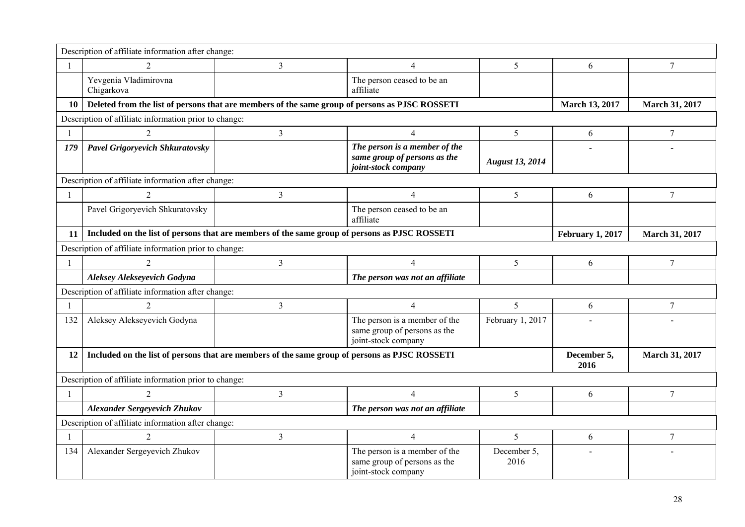|                | Description of affiliate information after change:                                             |                |                                                                                      |                        |                         |                       |
|----------------|------------------------------------------------------------------------------------------------|----------------|--------------------------------------------------------------------------------------|------------------------|-------------------------|-----------------------|
| -1             | $\overline{2}$                                                                                 | $\overline{3}$ | 4                                                                                    | 5                      | 6                       | $\tau$                |
|                | Yevgenia Vladimirovna<br>Chigarkova                                                            |                | The person ceased to be an<br>affiliate                                              |                        |                         |                       |
| 10             | Deleted from the list of persons that are members of the same group of persons as PJSC ROSSETI |                |                                                                                      |                        | <b>March 13, 2017</b>   | <b>March 31, 2017</b> |
|                | Description of affiliate information prior to change:                                          |                |                                                                                      |                        |                         |                       |
|                | $\overline{2}$                                                                                 | $\mathfrak{Z}$ | 4                                                                                    | 5                      | 6                       | 7                     |
| 179            | <b>Pavel Grigoryevich Shkuratovsky</b>                                                         |                | The person is a member of the<br>same group of persons as the<br>joint-stock company | <b>August 13, 2014</b> |                         |                       |
|                | Description of affiliate information after change:                                             |                |                                                                                      |                        |                         |                       |
| $\overline{1}$ | 2                                                                                              | $\mathfrak{Z}$ | 4                                                                                    | 5                      | 6                       | $\overline{7}$        |
|                | Pavel Grigoryevich Shkuratovsky                                                                |                | The person ceased to be an<br>affiliate                                              |                        |                         |                       |
| 11             | Included on the list of persons that are members of the same group of persons as PJSC ROSSETI  |                |                                                                                      |                        | <b>February 1, 2017</b> | <b>March 31, 2017</b> |
|                | Description of affiliate information prior to change:                                          |                |                                                                                      |                        |                         |                       |
| $\mathbf{1}$   | 2                                                                                              | $\overline{3}$ | $\overline{4}$                                                                       | 5                      | 6                       | 7                     |
|                | Aleksey Alekseyevich Godyna                                                                    |                | The person was not an affiliate                                                      |                        |                         |                       |
|                | Description of affiliate information after change:                                             |                |                                                                                      |                        |                         |                       |
|                | $\overline{2}$                                                                                 | $\overline{3}$ | 4                                                                                    | $\overline{5}$         | 6                       | $\overline{7}$        |
| 132            | Aleksey Alekseyevich Godyna                                                                    |                | The person is a member of the<br>same group of persons as the<br>joint-stock company | February 1, 2017       |                         |                       |
| 12             | Included on the list of persons that are members of the same group of persons as PJSC ROSSETI  |                |                                                                                      |                        | December 5,<br>2016     | <b>March 31, 2017</b> |
|                | Description of affiliate information prior to change:                                          |                |                                                                                      |                        |                         |                       |
| $\overline{1}$ | $\overline{2}$                                                                                 | $\overline{3}$ | $\overline{4}$                                                                       | 5                      | 6                       | $\overline{7}$        |
|                | <b>Alexander Sergeyevich Zhukov</b>                                                            |                | The person was not an affiliate                                                      |                        |                         |                       |
|                | Description of affiliate information after change:                                             |                |                                                                                      |                        |                         |                       |
| -1             | 2                                                                                              | $\overline{3}$ | $\overline{4}$                                                                       | 5                      | 6                       | $\tau$                |
| 134            | Alexander Sergeyevich Zhukov                                                                   |                | The person is a member of the<br>same group of persons as the<br>joint-stock company | December 5,<br>2016    |                         |                       |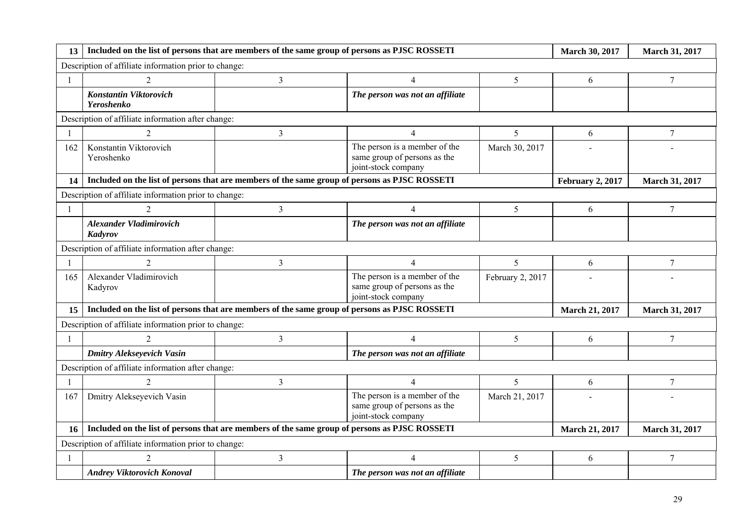| 13           | Included on the list of persons that are members of the same group of persons as PJSC ROSSETI |                                                                                               |                                                                                      |                  | <b>March 30, 2017</b>   | March 31, 2017   |
|--------------|-----------------------------------------------------------------------------------------------|-----------------------------------------------------------------------------------------------|--------------------------------------------------------------------------------------|------------------|-------------------------|------------------|
|              | Description of affiliate information prior to change:                                         |                                                                                               |                                                                                      |                  |                         |                  |
| $\mathbf{1}$ | $\mathcal{D}_{\mathcal{L}}$                                                                   | 3                                                                                             | 4                                                                                    | 5                | 6                       | 7                |
|              | <b>Konstantin Viktorovich</b><br><b>Yeroshenko</b>                                            |                                                                                               | The person was not an affiliate                                                      |                  |                         |                  |
|              | Description of affiliate information after change:                                            |                                                                                               |                                                                                      |                  |                         |                  |
|              | $\overline{2}$                                                                                | 3                                                                                             | $\overline{4}$                                                                       | 5                | 6                       | $\tau$           |
| 162          | Konstantin Viktorovich<br>Yeroshenko                                                          |                                                                                               | The person is a member of the<br>same group of persons as the<br>joint-stock company | March 30, 2017   |                         |                  |
| 14           | Included on the list of persons that are members of the same group of persons as PJSC ROSSETI |                                                                                               |                                                                                      |                  | <b>February 2, 2017</b> | March 31, 2017   |
|              | Description of affiliate information prior to change:                                         |                                                                                               |                                                                                      |                  |                         |                  |
|              |                                                                                               | $\overline{3}$                                                                                | $\overline{4}$                                                                       | 5                | 6                       | $\tau$           |
|              | <b>Alexander Vladimirovich</b><br>Kadyrov                                                     |                                                                                               | The person was not an affiliate                                                      |                  |                         |                  |
|              | Description of affiliate information after change:                                            |                                                                                               |                                                                                      |                  |                         |                  |
|              | 2                                                                                             | $\overline{3}$                                                                                | $\overline{4}$                                                                       | 5 <sup>1</sup>   | 6                       | 7                |
| 165          | Alexander Vladimirovich<br>Kadyrov                                                            |                                                                                               | The person is a member of the<br>same group of persons as the<br>joint-stock company | February 2, 2017 |                         |                  |
| 15           |                                                                                               | Included on the list of persons that are members of the same group of persons as PJSC ROSSETI |                                                                                      |                  | <b>March 21, 2017</b>   | March 31, 2017   |
|              | Description of affiliate information prior to change:                                         |                                                                                               |                                                                                      |                  |                         |                  |
| $\mathbf{1}$ |                                                                                               | $\overline{3}$                                                                                | $\overline{4}$                                                                       | 5                | 6                       | $\tau$           |
|              | <b>Dmitry Alekseyevich Vasin</b>                                                              |                                                                                               | The person was not an affiliate                                                      |                  |                         |                  |
|              | Description of affiliate information after change:                                            |                                                                                               |                                                                                      |                  |                         |                  |
| $\mathbf{1}$ | $\overline{2}$                                                                                | $\overline{3}$                                                                                | $\overline{4}$                                                                       | 5                | 6                       | $\tau$           |
| 167          | Dmitry Alekseyevich Vasin                                                                     |                                                                                               | The person is a member of the<br>same group of persons as the<br>joint-stock company | March 21, 2017   |                         |                  |
| 16           |                                                                                               | Included on the list of persons that are members of the same group of persons as PJSC ROSSETI |                                                                                      |                  | <b>March 21, 2017</b>   | March 31, 2017   |
|              | Description of affiliate information prior to change:                                         |                                                                                               |                                                                                      |                  |                         |                  |
|              |                                                                                               | $\mathfrak{Z}$                                                                                | 4                                                                                    | 5                | 6                       | $\boldsymbol{7}$ |
|              | <b>Andrey Viktorovich Konoval</b>                                                             |                                                                                               | The person was not an affiliate                                                      |                  |                         |                  |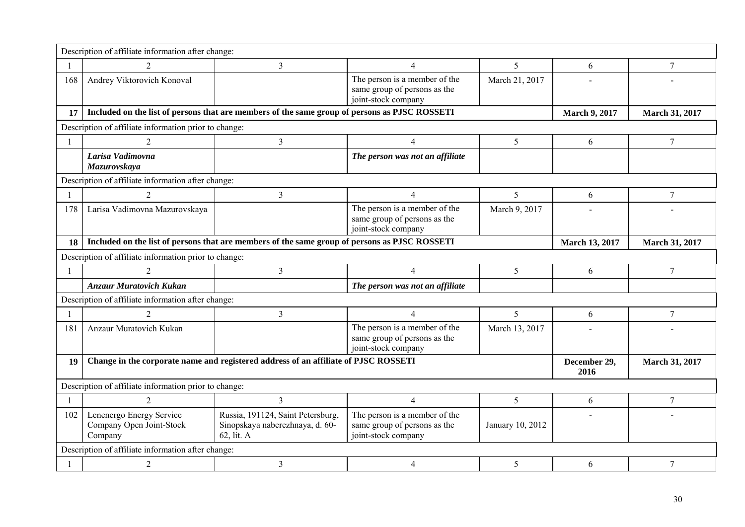|              | Description of affiliate information after change:              |                                                                                               |                                                                                      |                  |                       |                       |
|--------------|-----------------------------------------------------------------|-----------------------------------------------------------------------------------------------|--------------------------------------------------------------------------------------|------------------|-----------------------|-----------------------|
|              |                                                                 | $\overline{3}$                                                                                | $\overline{4}$                                                                       | 5                | 6                     | 7                     |
| 168          | Andrey Viktorovich Konoval                                      |                                                                                               | The person is a member of the<br>same group of persons as the<br>joint-stock company | March 21, 2017   |                       |                       |
| 17           |                                                                 | Included on the list of persons that are members of the same group of persons as PJSC ROSSETI |                                                                                      |                  | <b>March 9, 2017</b>  | <b>March 31, 2017</b> |
|              | Description of affiliate information prior to change:           |                                                                                               |                                                                                      |                  |                       |                       |
|              | $\overline{c}$                                                  | $\mathfrak{Z}$                                                                                | $\overline{4}$                                                                       | 5                | 6                     | 7                     |
|              | Larisa Vadimovna<br>Mazurovskaya                                |                                                                                               | The person was not an affiliate                                                      |                  |                       |                       |
|              | Description of affiliate information after change:              |                                                                                               |                                                                                      |                  |                       |                       |
| $\mathbf{1}$ | 2                                                               | 3                                                                                             | $\overline{4}$                                                                       | 5                | 6                     | 7                     |
| 178          | Larisa Vadimovna Mazurovskaya                                   |                                                                                               | The person is a member of the<br>same group of persons as the<br>joint-stock company | March 9, 2017    |                       |                       |
| 18           |                                                                 | Included on the list of persons that are members of the same group of persons as PJSC ROSSETI |                                                                                      |                  | <b>March 13, 2017</b> | <b>March 31, 2017</b> |
|              | Description of affiliate information prior to change:           |                                                                                               |                                                                                      |                  |                       |                       |
| $\mathbf{1}$ |                                                                 | $\overline{3}$                                                                                | $\overline{4}$                                                                       | 5                | 6                     | 7                     |
|              | <b>Anzaur Muratovich Kukan</b>                                  |                                                                                               | The person was not an affiliate                                                      |                  |                       |                       |
|              | Description of affiliate information after change:              |                                                                                               |                                                                                      |                  |                       |                       |
|              | $\overline{2}$                                                  | $\mathfrak{Z}$                                                                                | $\overline{4}$                                                                       | 5 <sup>1</sup>   | 6                     | 7                     |
| 181          | Anzaur Muratovich Kukan                                         |                                                                                               | The person is a member of the<br>same group of persons as the<br>joint-stock company | March 13, 2017   |                       |                       |
| 19           |                                                                 | Change in the corporate name and registered address of an affiliate of PJSC ROSSETI           |                                                                                      |                  | December 29,<br>2016  | <b>March 31, 2017</b> |
|              | Description of affiliate information prior to change:           |                                                                                               |                                                                                      |                  |                       |                       |
| $\mathbf{1}$ | $\overline{2}$                                                  | $\mathfrak{Z}$                                                                                | $\overline{4}$                                                                       | 5 <sup>5</sup>   | 6                     | $\overline{7}$        |
| 102          | Lenenergo Energy Service<br>Company Open Joint-Stock<br>Company | Russia, 191124, Saint Petersburg,<br>Sinopskaya naberezhnaya, d. 60-<br>62, lit. A            | The person is a member of the<br>same group of persons as the<br>joint-stock company | January 10, 2012 |                       |                       |
|              | Description of affiliate information after change:              |                                                                                               |                                                                                      |                  |                       |                       |
|              | $\overline{2}$                                                  | $\mathfrak{Z}$                                                                                | 4                                                                                    | 5                | 6                     | $\tau$                |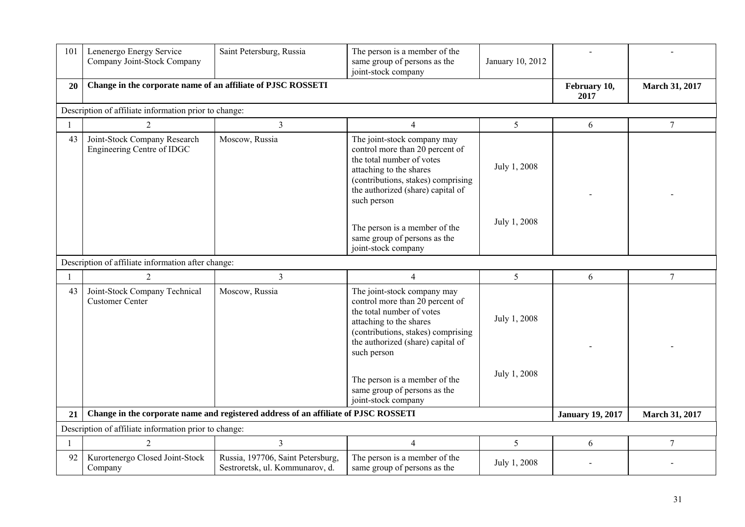| 101          | Lenenergo Energy Service<br>Company Joint-Stock Company      | Saint Petersburg, Russia                                                            | The person is a member of the<br>same group of persons as the<br>joint-stock company                                                                                                                                                                                                                     | January 10, 2012             |                         |                       |
|--------------|--------------------------------------------------------------|-------------------------------------------------------------------------------------|----------------------------------------------------------------------------------------------------------------------------------------------------------------------------------------------------------------------------------------------------------------------------------------------------------|------------------------------|-------------------------|-----------------------|
| 20           | Change in the corporate name of an affiliate of PJSC ROSSETI |                                                                                     |                                                                                                                                                                                                                                                                                                          |                              | February 10,<br>2017    | <b>March 31, 2017</b> |
|              | Description of affiliate information prior to change:        |                                                                                     |                                                                                                                                                                                                                                                                                                          |                              |                         |                       |
| $\mathbf{1}$ | $\overline{2}$                                               | $\overline{3}$                                                                      | $\overline{4}$                                                                                                                                                                                                                                                                                           | 5                            | 6                       | 7                     |
| 43           | Joint-Stock Company Research<br>Engineering Centre of IDGC   | Moscow, Russia                                                                      | The joint-stock company may<br>control more than 20 percent of<br>the total number of votes<br>attaching to the shares<br>(contributions, stakes) comprising<br>the authorized (share) capital of<br>such person                                                                                         | July 1, 2008                 |                         |                       |
|              |                                                              |                                                                                     | The person is a member of the<br>same group of persons as the<br>joint-stock company                                                                                                                                                                                                                     | July 1, 2008                 |                         |                       |
|              | Description of affiliate information after change:           |                                                                                     |                                                                                                                                                                                                                                                                                                          |                              |                         |                       |
| $\mathbf{1}$ | $\overline{2}$                                               | $\overline{3}$                                                                      | $\overline{4}$                                                                                                                                                                                                                                                                                           | 5 <sup>5</sup>               | 6                       | $\overline{7}$        |
| 43           | Joint-Stock Company Technical<br><b>Customer Center</b>      | Moscow, Russia                                                                      | The joint-stock company may<br>control more than 20 percent of<br>the total number of votes<br>attaching to the shares<br>(contributions, stakes) comprising<br>the authorized (share) capital of<br>such person<br>The person is a member of the<br>same group of persons as the<br>joint-stock company | July 1, 2008<br>July 1, 2008 |                         |                       |
| 21           |                                                              | Change in the corporate name and registered address of an affiliate of PJSC ROSSETI |                                                                                                                                                                                                                                                                                                          |                              | <b>January 19, 2017</b> | March 31, 2017        |
|              | Description of affiliate information prior to change:        |                                                                                     |                                                                                                                                                                                                                                                                                                          |                              |                         |                       |
| 1            | $\overline{2}$                                               | $\overline{3}$                                                                      | $\overline{4}$                                                                                                                                                                                                                                                                                           | 5                            | 6                       | $\tau$                |
| 92           | Kurortenergo Closed Joint-Stock<br>Company                   | Russia, 197706, Saint Petersburg,<br>Sestroretsk, ul. Kommunarov, d.                | The person is a member of the<br>same group of persons as the                                                                                                                                                                                                                                            | July 1, 2008                 |                         |                       |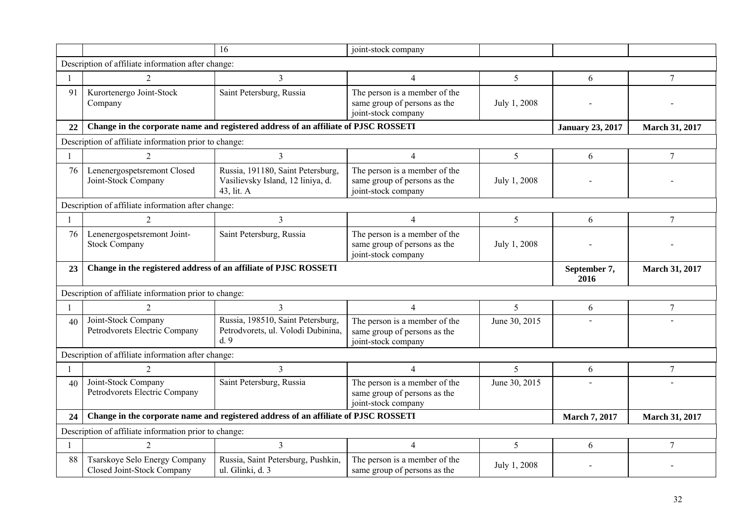|    |                                                                  | 16                                                                                        | joint-stock company                                                                  |                 |                         |                       |
|----|------------------------------------------------------------------|-------------------------------------------------------------------------------------------|--------------------------------------------------------------------------------------|-----------------|-------------------------|-----------------------|
|    | Description of affiliate information after change:               |                                                                                           |                                                                                      |                 |                         |                       |
|    | $\overline{c}$                                                   | 3                                                                                         | 4                                                                                    | 5               | 6                       | $\tau$                |
| 91 | Kurortenergo Joint-Stock<br>Company                              | Saint Petersburg, Russia                                                                  | The person is a member of the<br>same group of persons as the<br>joint-stock company | July 1, 2008    |                         |                       |
| 22 |                                                                  | Change in the corporate name and registered address of an affiliate of PJSC ROSSETI       |                                                                                      |                 | <b>January 23, 2017</b> | March 31, 2017        |
|    | Description of affiliate information prior to change:            |                                                                                           |                                                                                      |                 |                         |                       |
|    | 2                                                                | 3                                                                                         | 4                                                                                    | $5\overline{)}$ | 6                       | $\overline{7}$        |
| 76 | Lenenergospetsremont Closed<br>Joint-Stock Company               | Russia, 191180, Saint Petersburg,<br>Vasilievsky Island, 12 liniya, d.<br>43, lit. A      | The person is a member of the<br>same group of persons as the<br>joint-stock company | July 1, 2008    |                         |                       |
|    | Description of affiliate information after change:               |                                                                                           |                                                                                      |                 |                         |                       |
|    | $\overline{2}$                                                   | 3                                                                                         | $\overline{4}$                                                                       | 5               | 6                       | $\overline{7}$        |
| 76 | Lenenergospetsremont Joint-<br><b>Stock Company</b>              | Saint Petersburg, Russia                                                                  | The person is a member of the<br>same group of persons as the<br>joint-stock company | July 1, 2008    |                         |                       |
|    |                                                                  |                                                                                           |                                                                                      |                 |                         |                       |
| 23 | Change in the registered address of an affiliate of PJSC ROSSETI |                                                                                           |                                                                                      |                 | September 7,<br>2016    | <b>March 31, 2017</b> |
|    | Description of affiliate information prior to change:            |                                                                                           |                                                                                      |                 |                         |                       |
|    | 2                                                                | 3                                                                                         | $\overline{4}$                                                                       | $\mathfrak{S}$  | 6                       | $\boldsymbol{7}$      |
| 40 | Joint-Stock Company<br>Petrodvorets Electric Company             | Russia, 198510, Saint Petersburg,<br>Petrodvorets, ul. Volodi Dubinina,<br>d <sub>9</sub> | The person is a member of the<br>same group of persons as the<br>joint-stock company | June 30, 2015   |                         |                       |
|    | Description of affiliate information after change:               |                                                                                           |                                                                                      |                 |                         |                       |
|    | 2                                                                | 3                                                                                         | $\overline{4}$                                                                       | 5               | 6                       | $\boldsymbol{7}$      |
| 40 | Joint-Stock Company<br>Petrodvorets Electric Company             | Saint Petersburg, Russia                                                                  | The person is a member of the<br>same group of persons as the<br>joint-stock company | June 30, 2015   |                         |                       |
| 24 |                                                                  | Change in the corporate name and registered address of an affiliate of PJSC ROSSETI       |                                                                                      |                 | <b>March 7, 2017</b>    | March 31, 2017        |
|    | Description of affiliate information prior to change:            |                                                                                           |                                                                                      |                 |                         |                       |
|    | $\overline{2}$                                                   | $\overline{3}$                                                                            | $\overline{4}$                                                                       | $5\overline{)}$ | 6                       | $\overline{7}$        |